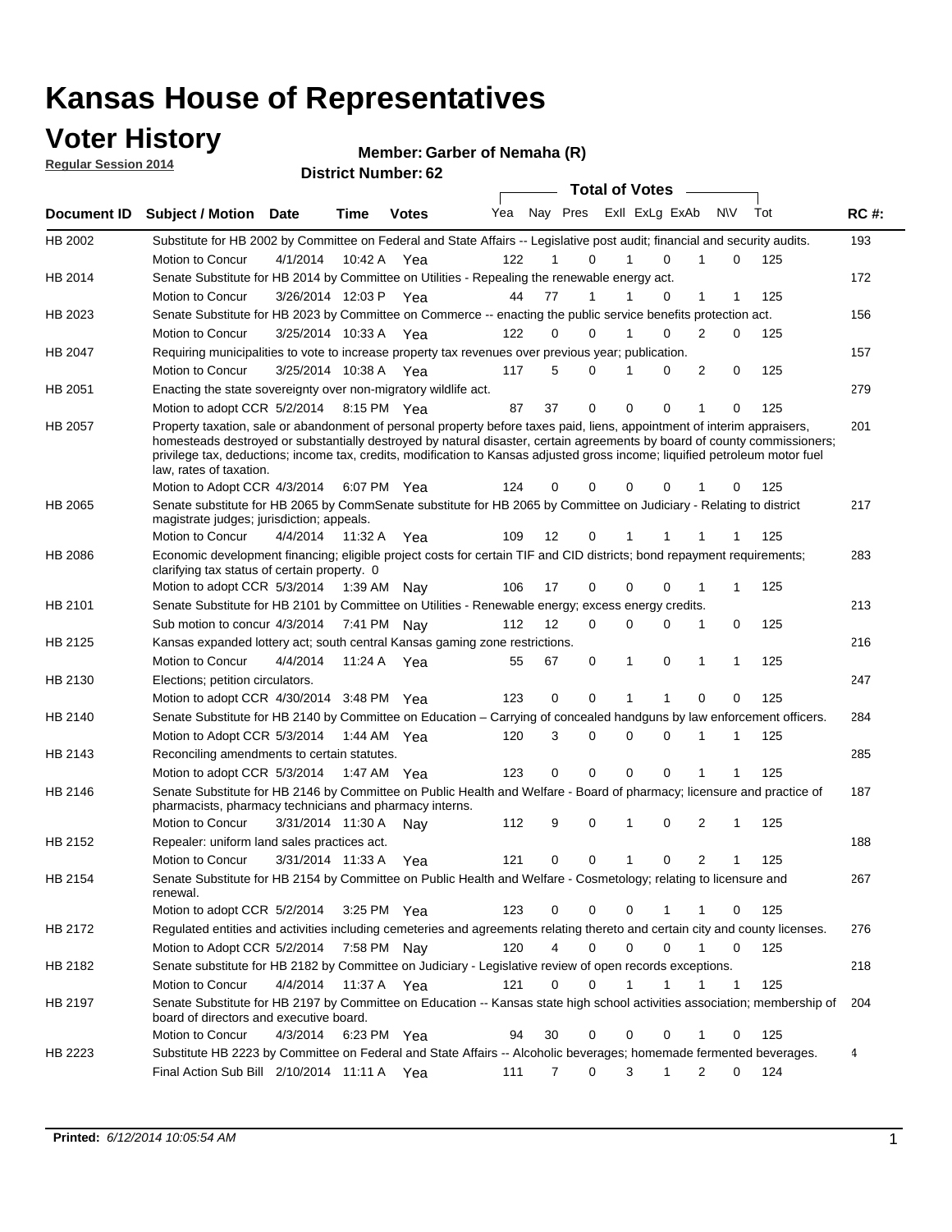### **Voter History**

**Regular Session 2014**

#### **Member: Garber of Nemaha (R)**

|                |                                                                                                                                                                                                                                                                                                                                                                                                                  |                       |             | DISTRICT MAILINGL. 02 |     |                   |          | <b>Total of Votes</b> |                |                              |     |     |             |
|----------------|------------------------------------------------------------------------------------------------------------------------------------------------------------------------------------------------------------------------------------------------------------------------------------------------------------------------------------------------------------------------------------------------------------------|-----------------------|-------------|-----------------------|-----|-------------------|----------|-----------------------|----------------|------------------------------|-----|-----|-------------|
| Document ID    | <b>Subject / Motion</b>                                                                                                                                                                                                                                                                                                                                                                                          | Date                  | Time        | <b>Votes</b>          | Yea |                   | Nay Pres |                       | Exll ExLg ExAb | N\V                          | Tot |     | <b>RC#:</b> |
| HB 2002        | Substitute for HB 2002 by Committee on Federal and State Affairs -- Legislative post audit; financial and security audits.                                                                                                                                                                                                                                                                                       |                       |             |                       |     |                   |          |                       |                |                              |     |     | 193         |
|                | Motion to Concur                                                                                                                                                                                                                                                                                                                                                                                                 | 4/1/2014              | 10:42 A     | Yea                   | 122 |                   | 0        |                       | $\Omega$       | 0                            |     | 125 |             |
| HB 2014        | Senate Substitute for HB 2014 by Committee on Utilities - Repealing the renewable energy act.                                                                                                                                                                                                                                                                                                                    |                       |             |                       |     |                   |          |                       |                |                              |     |     | 172         |
|                | Motion to Concur                                                                                                                                                                                                                                                                                                                                                                                                 | 3/26/2014 12:03 P Yea |             |                       | 44  | 77                | 1        |                       | 0              | 1<br>1                       |     | 125 |             |
| HB 2023        | Senate Substitute for HB 2023 by Committee on Commerce -- enacting the public service benefits protection act.                                                                                                                                                                                                                                                                                                   |                       |             |                       |     |                   |          |                       |                |                              |     |     | 156         |
|                | Motion to Concur                                                                                                                                                                                                                                                                                                                                                                                                 | 3/25/2014 10:33 A Yea |             |                       | 122 | $\Omega$          | 0        | 1                     | $\Omega$       | 2<br>0                       |     | 125 |             |
| HB 2047        | Requiring municipalities to vote to increase property tax revenues over previous year; publication.                                                                                                                                                                                                                                                                                                              |                       |             |                       |     |                   |          |                       |                |                              |     |     | 157         |
|                | Motion to Concur                                                                                                                                                                                                                                                                                                                                                                                                 | 3/25/2014 10:38 A     |             | Yea                   | 117 | 5                 | 0        |                       | 0              | 2<br>0                       |     | 125 |             |
| HB 2051        | Enacting the state sovereignty over non-migratory wildlife act.                                                                                                                                                                                                                                                                                                                                                  |                       |             |                       |     |                   |          |                       |                |                              |     |     | 279         |
|                |                                                                                                                                                                                                                                                                                                                                                                                                                  |                       |             |                       | 87  | 37                | 0        | 0                     | 0              | 1<br>$\Omega$                |     | 125 |             |
|                | Motion to adopt CCR 5/2/2014                                                                                                                                                                                                                                                                                                                                                                                     |                       | 8:15 PM Yea |                       |     |                   |          |                       |                |                              |     |     |             |
| HB 2057        | Property taxation, sale or abandonment of personal property before taxes paid, liens, appointment of interim appraisers,<br>homesteads destroyed or substantially destroyed by natural disaster, certain agreements by board of county commissioners;<br>privilege tax, deductions; income tax, credits, modification to Kansas adjusted gross income; liquified petroleum motor fuel<br>law, rates of taxation. |                       |             |                       |     |                   |          |                       |                |                              |     |     | 201         |
|                | Motion to Adopt CCR 4/3/2014                                                                                                                                                                                                                                                                                                                                                                                     |                       |             | 6:07 PM Yea           | 124 | 0                 | 0        | 0                     | $\Omega$       | 0                            |     | 125 |             |
| HB 2065        | Senate substitute for HB 2065 by CommSenate substitute for HB 2065 by Committee on Judiciary - Relating to district<br>magistrate judges; jurisdiction; appeals.                                                                                                                                                                                                                                                 |                       |             |                       |     |                   |          |                       |                |                              |     |     | 217         |
|                | Motion to Concur                                                                                                                                                                                                                                                                                                                                                                                                 | 4/4/2014 11:32 A Yea  |             |                       | 109 | $12 \overline{ }$ | 0        | 1                     | 1              | -1<br>1                      |     | 125 |             |
| <b>HB 2086</b> | Economic development financing; eligible project costs for certain TIF and CID districts; bond repayment requirements;<br>clarifying tax status of certain property. 0                                                                                                                                                                                                                                           |                       |             |                       |     |                   |          |                       |                |                              |     |     | 283         |
|                | Motion to adopt CCR 5/3/2014 1:39 AM Nay                                                                                                                                                                                                                                                                                                                                                                         |                       |             |                       | 106 | 17                | 0        | 0                     | $\Omega$       | 1<br>1                       |     | 125 |             |
| HB 2101        | Senate Substitute for HB 2101 by Committee on Utilities - Renewable energy; excess energy credits.                                                                                                                                                                                                                                                                                                               |                       |             |                       |     |                   |          |                       |                |                              |     |     | 213         |
|                | Sub motion to concur 4/3/2014                                                                                                                                                                                                                                                                                                                                                                                    |                       | 7:41 PM Nay |                       | 112 | 12                | 0        | 0                     | $\mathbf 0$    | 0<br>1                       |     | 125 |             |
| HB 2125        | Kansas expanded lottery act; south central Kansas gaming zone restrictions.                                                                                                                                                                                                                                                                                                                                      |                       |             |                       |     |                   |          |                       |                |                              |     |     | 216         |
|                | Motion to Concur                                                                                                                                                                                                                                                                                                                                                                                                 | 4/4/2014              | 11:24 A     | Yea                   | 55  | 67                | 0        | 1                     | 0              | $\mathbf{1}$<br>$\mathbf{1}$ |     | 125 |             |
| HB 2130        | Elections; petition circulators.                                                                                                                                                                                                                                                                                                                                                                                 |                       |             |                       |     |                   |          |                       |                |                              |     |     | 247         |
|                | Motion to adopt CCR 4/30/2014 3:48 PM Yea                                                                                                                                                                                                                                                                                                                                                                        |                       |             |                       | 123 | 0                 | 0        | 1                     | 1              | $\Omega$<br>0                |     | 125 |             |
| HB 2140        | Senate Substitute for HB 2140 by Committee on Education – Carrying of concealed handguns by law enforcement officers.                                                                                                                                                                                                                                                                                            |                       |             |                       |     |                   |          |                       |                |                              |     |     | 284         |
|                | Motion to Adopt CCR 5/3/2014                                                                                                                                                                                                                                                                                                                                                                                     |                       |             | 1:44 AM Yea           | 120 | 3                 | 0        | 0                     | 0              | -1<br>1                      |     | 125 |             |
| HB 2143        | Reconciling amendments to certain statutes.                                                                                                                                                                                                                                                                                                                                                                      |                       |             |                       |     |                   |          |                       |                |                              |     |     | 285         |
|                | Motion to adopt CCR 5/3/2014                                                                                                                                                                                                                                                                                                                                                                                     |                       |             | 1:47 AM Yea           | 123 | 0                 | 0        | 0                     | 0              | 1<br>1                       |     | 125 |             |
| HB 2146        | Senate Substitute for HB 2146 by Committee on Public Health and Welfare - Board of pharmacy; licensure and practice of                                                                                                                                                                                                                                                                                           |                       |             |                       |     |                   |          |                       |                |                              |     |     | 187         |
|                | pharmacists, pharmacy technicians and pharmacy interns.                                                                                                                                                                                                                                                                                                                                                          |                       |             |                       |     |                   |          |                       |                |                              |     |     |             |
|                | Motion to Concur                                                                                                                                                                                                                                                                                                                                                                                                 | 3/31/2014 11:30 A     |             | Nav                   | 112 | 9                 | 0        | 1                     | 0              | 2<br>1                       |     | 125 |             |
| HB 2152        | Repealer: uniform land sales practices act.                                                                                                                                                                                                                                                                                                                                                                      |                       |             |                       |     |                   |          |                       |                |                              |     |     | 188         |
|                | Motion to Concur                                                                                                                                                                                                                                                                                                                                                                                                 | 3/31/2014 11:33 A     |             | Yea                   | 121 |                   | 0<br>0   | 1                     | 0              | 2<br>1                       |     | 125 |             |
| HB 2154        | Senate Substitute for HB 2154 by Committee on Public Health and Welfare - Cosmetology; relating to licensure and<br>renewal.                                                                                                                                                                                                                                                                                     |                       |             |                       |     |                   |          |                       |                |                              |     |     | 267         |
|                | Motion to adopt CCR 5/2/2014 3:25 PM Yea                                                                                                                                                                                                                                                                                                                                                                         |                       |             |                       | 123 |                   | 0<br>0   | 0                     |                | 0<br>-1                      |     | 125 |             |
| HB 2172        | Requlated entities and activities including cemeteries and agreements relating thereto and certain city and county licenses.                                                                                                                                                                                                                                                                                     |                       |             |                       |     |                   |          |                       |                |                              |     |     | 276         |
|                | Motion to Adopt CCR 5/2/2014                                                                                                                                                                                                                                                                                                                                                                                     |                       | 7:58 PM Nay |                       | 120 |                   | 4<br>0   | $\mathbf 0$           | $\mathbf 0$    | $\mathbf{1}$<br>0            |     | 125 |             |
| HB 2182        | Senate substitute for HB 2182 by Committee on Judiciary - Legislative review of open records exceptions.                                                                                                                                                                                                                                                                                                         |                       |             |                       |     |                   |          |                       |                |                              |     |     | 218         |
|                | Motion to Concur                                                                                                                                                                                                                                                                                                                                                                                                 | 4/4/2014 11:37 A Yea  |             |                       | 121 | 0                 | 0        | 1                     | 1              | $\mathbf 1$<br>$\mathbf 1$   |     | 125 |             |
| HB 2197        | Senate Substitute for HB 2197 by Committee on Education -- Kansas state high school activities association; membership of<br>board of directors and executive board.                                                                                                                                                                                                                                             |                       |             |                       |     |                   |          |                       |                |                              |     |     | 204         |
|                | Motion to Concur                                                                                                                                                                                                                                                                                                                                                                                                 | 4/3/2014              |             | 6:23 PM Yea           | 94  | 30                | 0        | 0                     | 0              | 0                            |     | 125 |             |
| HB 2223        | Substitute HB 2223 by Committee on Federal and State Affairs -- Alcoholic beverages; homemade fermented beverages.                                                                                                                                                                                                                                                                                               |                       |             |                       |     |                   |          |                       |                |                              |     |     | 4           |
|                | Final Action Sub Bill 2/10/2014 11:11 A Yea                                                                                                                                                                                                                                                                                                                                                                      |                       |             |                       | 111 |                   | 0<br>7   | 3                     | 1              | 2<br>0                       |     | 124 |             |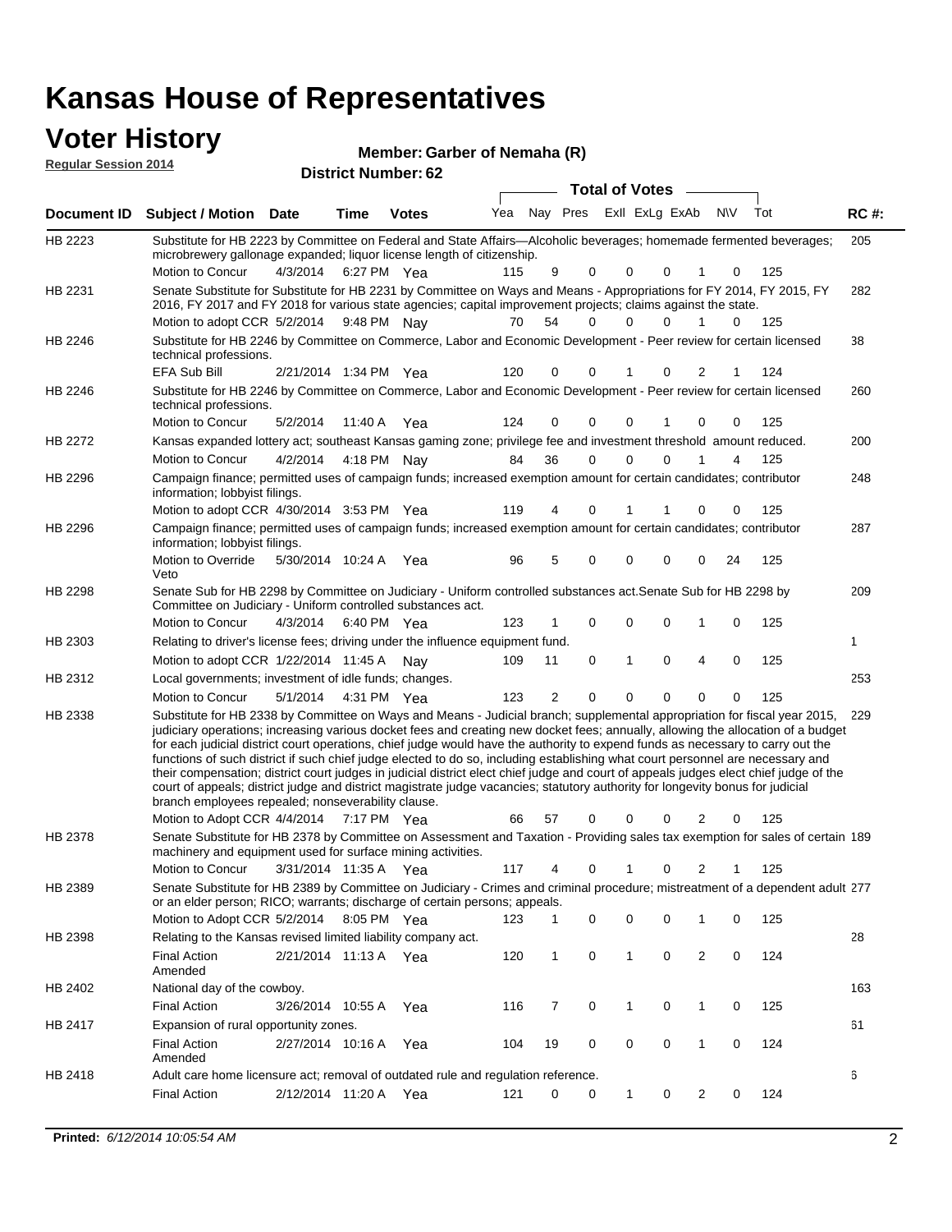#### **Voter History**

| <b>Regular Session 2014</b> | <u>.</u>                                                                                                                                                                                                                               |                   |             |              | Member: Garber of Nemaha (R) |          |             |          |                |          |              |     |             |  |
|-----------------------------|----------------------------------------------------------------------------------------------------------------------------------------------------------------------------------------------------------------------------------------|-------------------|-------------|--------------|------------------------------|----------|-------------|----------|----------------|----------|--------------|-----|-------------|--|
|                             | <b>District Number: 62</b><br><b>Total of Votes</b>                                                                                                                                                                                    |                   |             |              |                              |          |             |          |                |          |              |     |             |  |
| Document <b>ID</b>          | <b>Subject / Motion</b>                                                                                                                                                                                                                | <b>Date</b>       | Time        | <b>Votes</b> | Yea                          |          | Nay Pres    |          | ExII ExLg ExAb |          | N\V          | Tot | <b>RC#:</b> |  |
| HB 2223                     | Substitute for HB 2223 by Committee on Federal and State Affairs—Alcoholic beverages; homemade fermented beverages;<br>microbrewery gallonage expanded; liquor license length of citizenship.                                          |                   |             |              |                              |          |             |          |                |          |              |     | 205         |  |
|                             | Motion to Concur                                                                                                                                                                                                                       | 4/3/2014          | 6:27 PM Yea |              | 115                          | 9        | $\Omega$    | $\Omega$ | $\Omega$       |          | 0            | 125 |             |  |
| HB 2231                     | Senate Substitute for Substitute for HB 2231 by Committee on Ways and Means - Appropriations for FY 2014, FY 2015, FY<br>2016, FY 2017 and FY 2018 for various state agencies; capital improvement projects; claims against the state. |                   |             |              |                              |          |             |          |                |          |              |     | 282         |  |
|                             | Motion to adopt CCR 5/2/2014 9:48 PM Nay                                                                                                                                                                                               |                   |             |              | 70                           | 54       | $\mathbf 0$ | 0        | 0              |          | $\mathbf{0}$ | 125 |             |  |
| HB 2246                     | Substitute for HB 2246 by Committee on Commerce, Labor and Economic Development - Peer review for certain licensed<br>technical professions.                                                                                           |                   |             |              |                              |          |             |          |                |          |              |     | 38          |  |
|                             | EFA Sub Bill                                                                                                                                                                                                                           | 2/21/2014 1:34 PM |             | Yea          | 120                          | $\Omega$ | $\Omega$    |          | $\Omega$       | 2        |              | 124 |             |  |
| HB 2246                     | Substitute for HB 2246 by Committee on Commerce, Labor and Economic Development - Peer review for certain licensed<br>technical professions.                                                                                           |                   |             |              |                              |          |             |          |                |          |              |     | 260         |  |
|                             | Motion to Concur                                                                                                                                                                                                                       | 5/2/2014          | 11:40 A     | Yea          | 124                          | $\Omega$ | $\Omega$    | 0        |                | $\Omega$ | $\Omega$     | 125 |             |  |
| <b>HB 2272</b>              | Kansas expanded lottery act; southeast Kansas gaming zone; privilege fee and investment threshold amount reduced.                                                                                                                      |                   |             |              |                              |          |             |          |                |          |              |     | 200         |  |
|                             | Motion to Concur                                                                                                                                                                                                                       | 4/2/2014          | 4:18 PM Nay |              | 84                           | 36       | 0           | 0        | 0              |          | 4            | 125 |             |  |
| HB 2296                     | Campaign finance; permitted uses of campaign funds; increased exemption amount for certain candidates; contributor<br>information; lobbyist filings.                                                                                   |                   |             |              |                              |          |             |          |                |          |              |     | 248         |  |

287 Motion to Override 5/30/2014 10:24 A Yea 96 5 0 0 0 0 24 125 HB 2296 Veto Campaign finance; permitted uses of campaign funds; increased exemption amount for certain candidates; contributor information; lobbyist filings. 209 4/3/2014 HB 2298 Motion to Concur 4/3/2014 6:40 PM Yea 123 1 0 0 0 1 0 125 Senate Sub for HB 2298 by Committee on Judiciary - Uniform controlled substances act.Senate Sub for HB 2298 by Committee on Judiciary - Uniform controlled substances act. 6:40 PM Yea 1 Motion to adopt CCR 1/22/2014 11:45 A Nay 109 11 0 1 0 4 0 125 HB 2303 Relating to driver's license fees; driving under the influence equipment fund. 253 5/1/2014 HB 2312 Motion to Concur Yea 125 4:31 PM 123 2 0 0 00 0 Local governments; investment of idle funds; changes. Substitute for HB 2338 by Committee on Ways and Means - Judicial branch; supplemental appropriation for fiscal year 2015, 229 Motion to Adopt CCR 4/4/2014 7:17 PM Yea 66 57 0 0 0 2 0 125 HB 2338 judiciary operations; increasing various docket fees and creating new docket fees; annually, allowing the allocation of a budget for each judicial district court operations, chief judge would have the authority to expend funds as necessary to carry out the functions of such district if such chief judge elected to do so, including establishing what court personnel are necessary and their compensation; district court judges in judicial district elect chief judge and court of appeals judges elect chief judge of the court of appeals; district judge and district magistrate judge vacancies; statutory authority for longevity bonus for judicial branch employees repealed; nonseverability clause. 7:17 PM Yea 66 57 0 0 0 2 0 Senate Substitute for HB 2378 by Committee on Assessment and Taxation - Providing sales tax exemption for sales of certain 189 HB 2378 machinery and equipment used for surface mining activities.

4/30/2014 Motion to adopt CCR Yea 125 3:53 PM 119 4 1 0 00 1

3/31/2014 Motion to Concur Yea 125 11:35 A 117 4 0 0 21 1 Senate Substitute for HB 2389 by Committee on Judiciary - Crimes and criminal procedure; mistreatment of a dependent adult 277 Motion to Adopt CCR 5/2/2014 8:05 PM Yea 123 1 0 0 0 1 0 125 HB 2389 or an elder person; RICO; warrants; discharge of certain persons; appeals. 28 2/21/2014 Final Action Yea 124 11:13 A 120 1 0 0 20 1 HB 2398 Amended Relating to the Kansas revised limited liability company act. 163 Final Action 3/26/2014 10:55 A Yea 116 7 0 1 0 125 HB 2402 National day of the cowboy. 10:55 A 116 7 0 0 10 1 61 2/27/2014 Final Action Yea 124 10:16 A 104 19 0 0 10 0 HB 2417 Amended Expansion of rural opportunity zones. 6 2/12/2014 Final Action Yea 124 11:20 A 121 0 0 0 20 1 HB 2418 Adult care home licensure act; removal of outdated rule and regulation reference.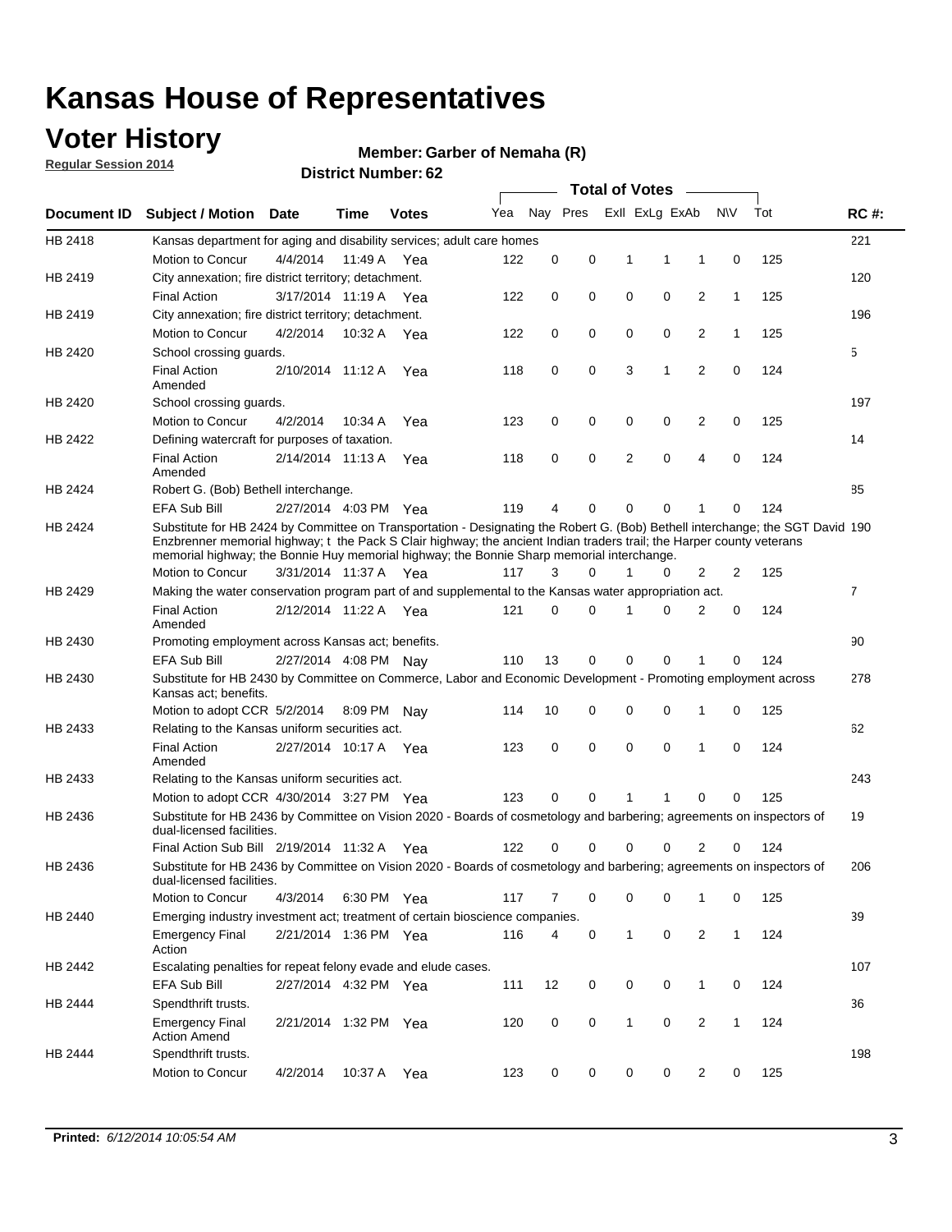### **Voter History**

**Regular Session 2014**

#### **Member: Garber of Nemaha (R)**

|             |                                                                                                                                                                                                                                                                                                                                                      |                       |         | <b>DISUILLINUIIIIDEI. UZ</b> |     |    |          | <b>Total of Votes</b> |                |                         |              |     |                |
|-------------|------------------------------------------------------------------------------------------------------------------------------------------------------------------------------------------------------------------------------------------------------------------------------------------------------------------------------------------------------|-----------------------|---------|------------------------------|-----|----|----------|-----------------------|----------------|-------------------------|--------------|-----|----------------|
| Document ID | <b>Subject / Motion Date</b>                                                                                                                                                                                                                                                                                                                         |                       | Time    | <b>Votes</b>                 | Yea |    | Nay Pres |                       | Exll ExLg ExAb |                         | N\V          | Tot | <b>RC#:</b>    |
| HB 2418     | Kansas department for aging and disability services; adult care homes                                                                                                                                                                                                                                                                                |                       |         |                              |     |    |          |                       |                |                         |              |     | 221            |
|             | Motion to Concur                                                                                                                                                                                                                                                                                                                                     | 4/4/2014              | 11:49 A | Yea                          | 122 | 0  | 0        | 1                     | 1              | 1                       | 0            | 125 |                |
| HB 2419     | City annexation; fire district territory; detachment.                                                                                                                                                                                                                                                                                                |                       |         |                              |     |    |          |                       |                |                         |              |     | 120            |
|             | <b>Final Action</b>                                                                                                                                                                                                                                                                                                                                  | 3/17/2014 11:19 A     |         | Yea                          | 122 | 0  | 0        | $\mathbf 0$           | 0              | 2                       | $\mathbf{1}$ | 125 |                |
| HB 2419     | City annexation; fire district territory; detachment.                                                                                                                                                                                                                                                                                                |                       |         |                              |     |    |          |                       |                |                         |              |     | 196            |
|             | Motion to Concur                                                                                                                                                                                                                                                                                                                                     | 4/2/2014              |         | 10:32 A Yea                  | 122 | 0  | 0        | $\mathbf 0$           | 0              | 2                       | $\mathbf{1}$ | 125 |                |
| HB 2420     | School crossing guards.                                                                                                                                                                                                                                                                                                                              |                       |         |                              |     |    |          |                       |                |                         |              |     | 5              |
|             | <b>Final Action</b><br>Amended                                                                                                                                                                                                                                                                                                                       | 2/10/2014 11:12 A     |         | Yea                          | 118 | 0  | 0        | 3                     | 1              | $\overline{2}$          | 0            | 124 |                |
| HB 2420     | School crossing guards.                                                                                                                                                                                                                                                                                                                              |                       |         |                              |     |    |          |                       |                |                         |              |     | 197            |
|             | Motion to Concur                                                                                                                                                                                                                                                                                                                                     | 4/2/2014              | 10:34 A | Yea                          | 123 | 0  | 0        | 0                     | 0              | $\overline{\mathbf{c}}$ | 0            | 125 |                |
| HB 2422     | Defining watercraft for purposes of taxation.                                                                                                                                                                                                                                                                                                        |                       |         |                              |     |    |          |                       |                |                         |              |     | 14             |
|             | <b>Final Action</b><br>Amended                                                                                                                                                                                                                                                                                                                       | 2/14/2014 11:13 A     |         | Yea                          | 118 | 0  | 0        | 2                     | $\mathbf 0$    | $\overline{4}$          | 0            | 124 |                |
| HB 2424     | Robert G. (Bob) Bethell interchange.                                                                                                                                                                                                                                                                                                                 |                       |         |                              |     |    |          |                       |                |                         |              |     | 85             |
|             | <b>EFA Sub Bill</b>                                                                                                                                                                                                                                                                                                                                  | 2/27/2014 4:03 PM Yea |         |                              | 119 | 4  | 0        | 0                     | 0              | 1                       | 0            | 124 |                |
| HB 2424     | Substitute for HB 2424 by Committee on Transportation - Designating the Robert G. (Bob) Bethell interchange; the SGT David 190<br>Enzbrenner memorial highway; t the Pack S Clair highway; the ancient Indian traders trail; the Harper county veterans<br>memorial highway; the Bonnie Huy memorial highway; the Bonnie Sharp memorial interchange. |                       |         |                              |     |    |          |                       |                |                         |              |     |                |
|             | Motion to Concur                                                                                                                                                                                                                                                                                                                                     | 3/31/2014 11:37 A Yea |         |                              | 117 | 3  | 0        | $\mathbf{1}$          | 0              | $\overline{2}$          | 2            | 125 |                |
| HB 2429     | Making the water conservation program part of and supplemental to the Kansas water appropriation act.                                                                                                                                                                                                                                                |                       |         |                              |     |    |          |                       |                |                         |              |     | $\overline{7}$ |
|             | <b>Final Action</b><br>Amended                                                                                                                                                                                                                                                                                                                       | 2/12/2014 11:22 A     |         | Yea                          | 121 | 0  | 0        | 1                     | $\Omega$       | $\overline{2}$          | 0            | 124 |                |
| HB 2430     | Promoting employment across Kansas act; benefits.                                                                                                                                                                                                                                                                                                    |                       |         |                              |     |    |          |                       |                |                         |              |     | 90             |
|             | EFA Sub Bill                                                                                                                                                                                                                                                                                                                                         | 2/27/2014 4:08 PM Nay |         |                              | 110 | 13 | 0        | $\mathbf 0$           | 0              | 1                       | 0            | 124 |                |
| HB 2430     | Substitute for HB 2430 by Committee on Commerce, Labor and Economic Development - Promoting employment across                                                                                                                                                                                                                                        |                       |         |                              |     |    |          |                       |                |                         |              |     | 278            |
|             | Kansas act; benefits.<br>Motion to adopt CCR 5/2/2014 8:09 PM Nay                                                                                                                                                                                                                                                                                    |                       |         |                              | 114 | 10 | 0        | 0                     | 0              | 1                       | 0            | 125 |                |
| HB 2433     | Relating to the Kansas uniform securities act.                                                                                                                                                                                                                                                                                                       |                       |         |                              |     |    |          |                       |                |                         |              |     | 62             |
|             | <b>Final Action</b><br>Amended                                                                                                                                                                                                                                                                                                                       | 2/27/2014 10:17 A Yea |         |                              | 123 | 0  | 0        | $\mathbf 0$           | $\mathbf 0$    | 1                       | 0            | 124 |                |
| HB 2433     | Relating to the Kansas uniform securities act.                                                                                                                                                                                                                                                                                                       |                       |         |                              |     |    |          |                       |                |                         |              |     | 243            |
|             | Motion to adopt CCR 4/30/2014 3:27 PM Yea                                                                                                                                                                                                                                                                                                            |                       |         |                              | 123 | 0  | 0        | 1                     | 1              | $\mathbf 0$             | 0            | 125 |                |
| HB 2436     | Substitute for HB 2436 by Committee on Vision 2020 - Boards of cosmetology and barbering; agreements on inspectors of<br>dual-licensed facilities.                                                                                                                                                                                                   |                       |         |                              |     |    |          |                       |                |                         |              |     | 19             |
|             | Final Action Sub Bill 2/19/2014 11:32 A                                                                                                                                                                                                                                                                                                              |                       |         | Yea                          | 122 | 0  | 0        | 0                     | 0              | $\overline{2}$          | 0            | 124 |                |
| HB 2436     | Substitute for HB 2436 by Committee on Vision 2020 - Boards of cosmetology and barbering; agreements on inspectors of<br>dual-licensed facilities.                                                                                                                                                                                                   |                       |         |                              |     |    |          |                       |                |                         |              |     | 206            |
|             | Motion to Concur                                                                                                                                                                                                                                                                                                                                     | 4/3/2014              |         | 6:30 PM Yea                  | 117 | 7  | 0        | 0                     | 0              | 1                       | 0            | 125 |                |
| HB 2440     | Emerging industry investment act; treatment of certain bioscience companies.                                                                                                                                                                                                                                                                         |                       |         |                              |     |    |          |                       |                |                         |              |     | 39             |
|             | <b>Emergency Final</b><br>Action                                                                                                                                                                                                                                                                                                                     | 2/21/2014 1:36 PM Yea |         |                              | 116 | 4  | 0        | $\mathbf{1}$          | 0              | 2                       | $\mathbf{1}$ | 124 |                |
| HB 2442     | Escalating penalties for repeat felony evade and elude cases.                                                                                                                                                                                                                                                                                        |                       |         |                              |     |    |          |                       |                |                         |              |     | 107            |
|             | EFA Sub Bill                                                                                                                                                                                                                                                                                                                                         | 2/27/2014 4:32 PM Yea |         |                              | 111 | 12 | 0        | 0                     | 0              | 1                       | 0            | 124 |                |
| HB 2444     | Spendthrift trusts.                                                                                                                                                                                                                                                                                                                                  |                       |         |                              |     |    |          |                       |                |                         |              |     | 36             |
|             | <b>Emergency Final</b><br><b>Action Amend</b>                                                                                                                                                                                                                                                                                                        | 2/21/2014 1:32 PM Yea |         |                              | 120 | 0  | 0        | $\mathbf{1}$          | 0              | $\overline{2}$          | $\mathbf{1}$ | 124 |                |
| HB 2444     | Spendthrift trusts.                                                                                                                                                                                                                                                                                                                                  |                       |         |                              |     |    |          |                       |                |                         |              |     | 198            |
|             | Motion to Concur                                                                                                                                                                                                                                                                                                                                     | 4/2/2014              | 10:37 A | Yea                          | 123 | 0  | 0        | 0                     | 0              | $\overline{2}$          | 0            | 125 |                |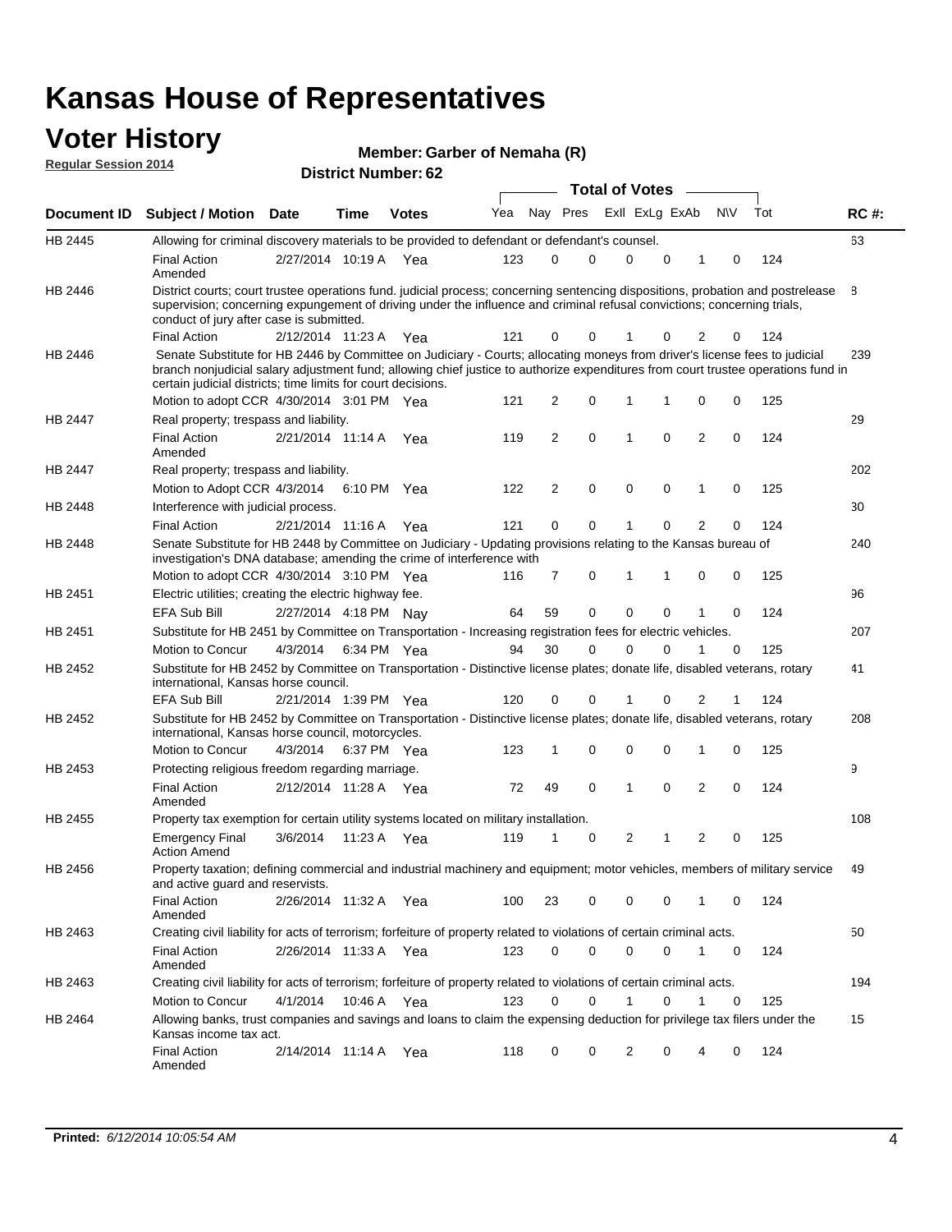#### **Voter History Regular Session 2014**

| Member: Garber of Nemaha (R) |  |  |
|------------------------------|--|--|
|------------------------------|--|--|

| <b>District Number: 62</b> |  |
|----------------------------|--|
|                            |  |

|                    |                                                                                                                                                                                                                                                                                                                                 | <b>Total of Votes</b> |      |              |     |    |             |  |                |             |                |             |     |             |
|--------------------|---------------------------------------------------------------------------------------------------------------------------------------------------------------------------------------------------------------------------------------------------------------------------------------------------------------------------------|-----------------------|------|--------------|-----|----|-------------|--|----------------|-------------|----------------|-------------|-----|-------------|
| <b>Document ID</b> | <b>Subject / Motion Date</b>                                                                                                                                                                                                                                                                                                    |                       | Time | <b>Votes</b> | Yea |    | Nay Pres    |  | Exll ExLg ExAb |             |                | N\V         | Tot | <b>RC#:</b> |
| HB 2445            | Allowing for criminal discovery materials to be provided to defendant or defendant's counsel.                                                                                                                                                                                                                                   |                       |      |              |     |    |             |  |                |             |                |             |     | 63          |
|                    | <b>Final Action</b><br>Amended                                                                                                                                                                                                                                                                                                  | 2/27/2014 10:19 A Yea |      |              | 123 | 0  | 0           |  | 0              | 0           | 1              | 0           | 124 |             |
| HB 2446            | District courts; court trustee operations fund. judicial process; concerning sentencing dispositions, probation and postrelease<br>supervision; concerning expungement of driving under the influence and criminal refusal convictions; concerning trials,<br>conduct of jury after case is submitted.                          |                       |      |              |     |    |             |  |                |             |                |             |     | 8           |
|                    | <b>Final Action</b>                                                                                                                                                                                                                                                                                                             | 2/12/2014 11:23 A Yea |      |              | 121 | 0  | 0           |  |                | 0           | 2              | 0           | 124 |             |
| HB 2446            | Senate Substitute for HB 2446 by Committee on Judiciary - Courts; allocating moneys from driver's license fees to judicial<br>branch nonjudicial salary adjustment fund; allowing chief justice to authorize expenditures from court trustee operations fund in<br>certain judicial districts; time limits for court decisions. |                       |      |              |     |    |             |  |                |             |                |             |     | 239         |
|                    | Motion to adopt CCR 4/30/2014 3:01 PM Yea                                                                                                                                                                                                                                                                                       |                       |      |              | 121 | 2  | 0           |  | 1              | 1           | 0              | 0           | 125 |             |
| <b>HB 2447</b>     | Real property; trespass and liability.                                                                                                                                                                                                                                                                                          |                       |      |              |     |    |             |  |                |             |                |             |     | 29          |
|                    | <b>Final Action</b><br>Amended                                                                                                                                                                                                                                                                                                  | 2/21/2014 11:14 A Yea |      |              | 119 | 2  | $\mathbf 0$ |  | $\mathbf{1}$   | $\mathbf 0$ | 2              | $\mathbf 0$ | 124 |             |
| HB 2447            | Real property; trespass and liability.                                                                                                                                                                                                                                                                                          |                       |      |              |     |    |             |  |                |             |                |             |     | 202         |
|                    | Motion to Adopt CCR 4/3/2014                                                                                                                                                                                                                                                                                                    |                       |      | 6:10 PM Yea  | 122 | 2  | 0           |  | 0              | 0           | 1              | 0           | 125 |             |
| HB 2448            | Interference with judicial process.                                                                                                                                                                                                                                                                                             |                       |      |              |     |    |             |  |                |             |                |             |     | 30          |
|                    | <b>Final Action</b>                                                                                                                                                                                                                                                                                                             | 2/21/2014 11:16 A Yea |      |              | 121 | 0  | 0           |  | 1              | 0           | 2              | 0           | 124 |             |
| HB 2448            | Senate Substitute for HB 2448 by Committee on Judiciary - Updating provisions relating to the Kansas bureau of<br>investigation's DNA database; amending the crime of interference with                                                                                                                                         |                       |      |              |     |    |             |  |                |             |                |             |     | 240         |
|                    | Motion to adopt CCR 4/30/2014 3:10 PM Yea                                                                                                                                                                                                                                                                                       |                       |      |              | 116 | 7  | 0           |  | 1              | 1           | 0              | 0           | 125 |             |
| HB 2451            | Electric utilities; creating the electric highway fee.                                                                                                                                                                                                                                                                          |                       |      |              |     |    |             |  |                |             |                |             |     | 96          |
|                    | EFA Sub Bill                                                                                                                                                                                                                                                                                                                    | 2/27/2014 4:18 PM Nay |      |              | 64  | 59 | 0           |  | 0              | 0           | 1              | 0           | 124 |             |
| HB 2451            | Substitute for HB 2451 by Committee on Transportation - Increasing registration fees for electric vehicles.                                                                                                                                                                                                                     |                       |      |              |     |    |             |  |                |             |                |             |     | 207         |
|                    | Motion to Concur                                                                                                                                                                                                                                                                                                                | 4/3/2014              |      | 6:34 PM Yea  | 94  | 30 | 0           |  | $\Omega$       | 0           | 1              | 0           | 125 |             |
| HB 2452            | Substitute for HB 2452 by Committee on Transportation - Distinctive license plates; donate life, disabled veterans, rotary<br>international, Kansas horse council.                                                                                                                                                              |                       |      |              |     |    |             |  |                |             |                |             |     | 41          |
|                    | <b>EFA Sub Bill</b>                                                                                                                                                                                                                                                                                                             | 2/21/2014 1:39 PM Yea |      |              | 120 | 0  | 0           |  |                | 0           | 2              | 1           | 124 |             |
| HB 2452            | Substitute for HB 2452 by Committee on Transportation - Distinctive license plates; donate life, disabled veterans, rotary<br>international, Kansas horse council, motorcycles.                                                                                                                                                 |                       |      |              |     |    |             |  |                |             |                |             |     | 208         |
|                    | Motion to Concur                                                                                                                                                                                                                                                                                                                | 4/3/2014              |      | 6:37 PM Yea  | 123 | 1  | 0           |  | $\mathbf 0$    | 0           | 1              | 0           | 125 |             |
| HB 2453            | Protecting religious freedom regarding marriage.                                                                                                                                                                                                                                                                                |                       |      |              |     |    |             |  |                |             |                |             |     | 9           |
|                    | <b>Final Action</b><br>Amended                                                                                                                                                                                                                                                                                                  | 2/12/2014 11:28 A Yea |      |              | 72  | 49 | 0           |  | 1              | $\Omega$    | 2              | 0           | 124 |             |
| HB 2455            | Property tax exemption for certain utility systems located on military installation.                                                                                                                                                                                                                                            |                       |      |              |     |    |             |  |                |             |                |             |     | 108         |
|                    | <b>Emergency Final</b><br><b>Action Amend</b>                                                                                                                                                                                                                                                                                   | 3/6/2014              |      | 11:23 A Yea  | 119 | 1  | 0           |  | 2              | 1           | $\overline{2}$ | 0           | 125 |             |
| HB 2456            | Property taxation; defining commercial and industrial machinery and equipment; motor vehicles, members of military service<br>and active guard and reservists.                                                                                                                                                                  |                       |      |              |     |    |             |  |                |             |                |             |     | 49          |
|                    | <b>Final Action</b><br>Amended                                                                                                                                                                                                                                                                                                  | 2/26/2014 11:32 A Yea |      |              | 100 | 23 | 0           |  | 0              | 0           | 1              | 0           | 124 |             |
| HB 2463            | Creating civil liability for acts of terrorism; forfeiture of property related to violations of certain criminal acts.                                                                                                                                                                                                          |                       |      |              |     |    |             |  |                |             |                |             |     | 50          |
|                    | <b>Final Action</b><br>Amended                                                                                                                                                                                                                                                                                                  | 2/26/2014 11:33 A Yea |      |              | 123 | 0  | 0           |  | 0              | 0           | $\mathbf{1}$   | 0           | 124 |             |
| HB 2463            | Creating civil liability for acts of terrorism; forfeiture of property related to violations of certain criminal acts.                                                                                                                                                                                                          |                       |      |              |     |    |             |  |                |             |                |             |     | 194         |
|                    | Motion to Concur                                                                                                                                                                                                                                                                                                                | 4/1/2014              |      | 10:46 A Yea  | 123 | 0  | $\mathbf 0$ |  | 1              | 0           | 1              | 0           | 125 |             |
| HB 2464            | Allowing banks, trust companies and savings and loans to claim the expensing deduction for privilege tax filers under the<br>Kansas income tax act.                                                                                                                                                                             |                       |      |              |     |    |             |  |                |             |                |             |     | 15          |
|                    | Final Action<br>Amended                                                                                                                                                                                                                                                                                                         | 2/14/2014 11:14 A Yea |      |              | 118 | 0  | 0           |  | 2              | 0           | 4              | 0           | 124 |             |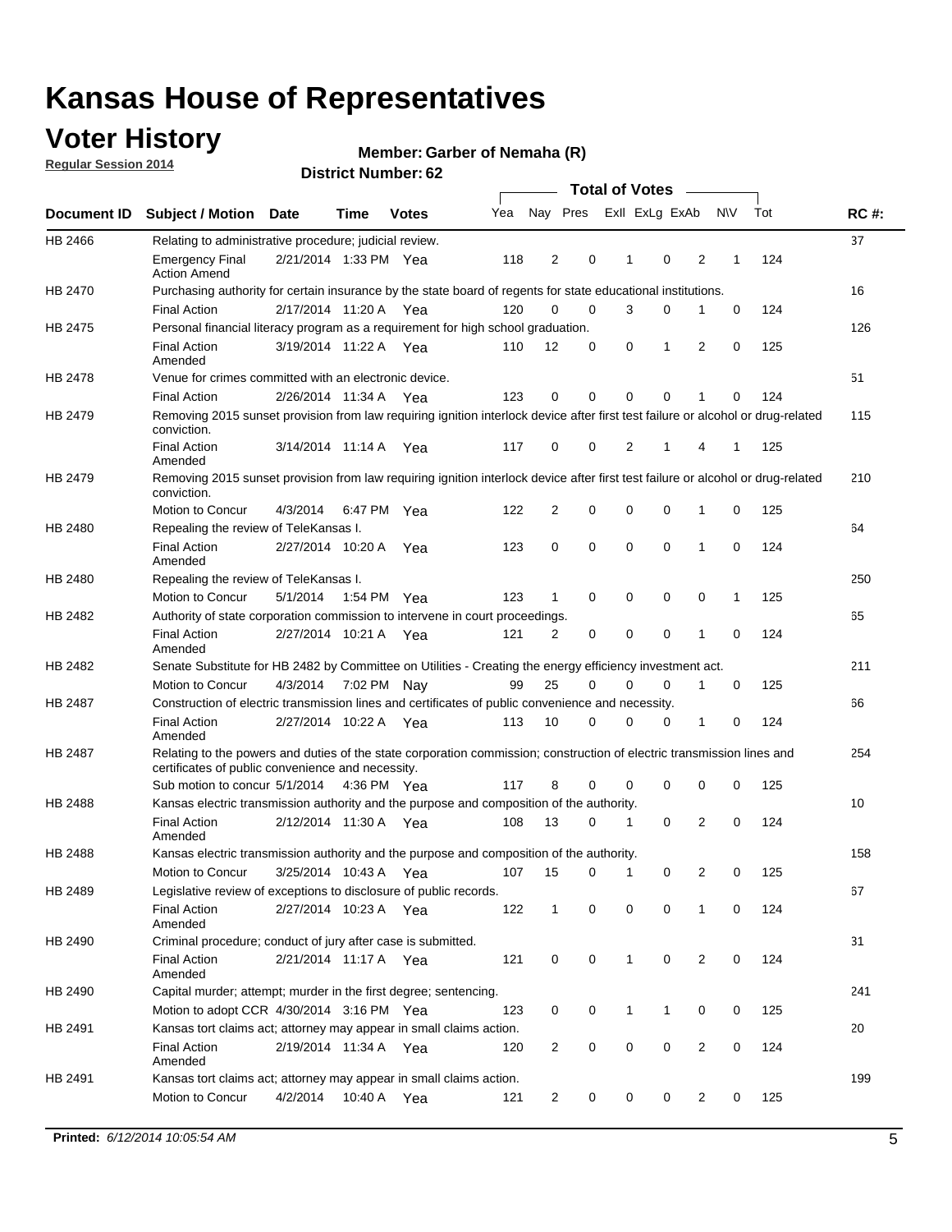### **Voter History**

**Regular Session 2014**

#### **Member: Garber of Nemaha (R)**

|                |                                                                                                                                                                             |                       |         |              |     |                |          | <b>Total of Votes</b> |                |                |             |     |             |
|----------------|-----------------------------------------------------------------------------------------------------------------------------------------------------------------------------|-----------------------|---------|--------------|-----|----------------|----------|-----------------------|----------------|----------------|-------------|-----|-------------|
|                | Document ID Subject / Motion Date                                                                                                                                           |                       | Time    | <b>Votes</b> | Yea |                | Nay Pres |                       | Exll ExLg ExAb |                | <b>NV</b>   | Tot | <b>RC#:</b> |
| HB 2466        | Relating to administrative procedure; judicial review.                                                                                                                      |                       |         |              |     |                |          |                       |                |                |             |     | 37          |
|                | <b>Emergency Final</b><br><b>Action Amend</b>                                                                                                                               | 2/21/2014 1:33 PM Yea |         |              | 118 | 2              | 0        | 1                     | 0              | 2              | 1           | 124 |             |
| HB 2470        | Purchasing authority for certain insurance by the state board of regents for state educational institutions.                                                                |                       |         |              |     |                |          |                       |                |                |             |     | 16          |
|                | <b>Final Action</b>                                                                                                                                                         | 2/17/2014 11:20 A Yea |         |              | 120 | 0              | 0        | 3                     | 0              | 1              | 0           | 124 |             |
| HB 2475        | Personal financial literacy program as a requirement for high school graduation.                                                                                            |                       |         |              |     |                |          |                       |                |                |             |     | 126         |
|                | <b>Final Action</b><br>Amended                                                                                                                                              | 3/19/2014 11:22 A Yea |         |              | 110 | 12             | 0        | 0                     | 1              | 2              | $\mathbf 0$ | 125 |             |
| <b>HB 2478</b> | Venue for crimes committed with an electronic device.                                                                                                                       |                       |         |              |     |                |          |                       |                |                |             |     | 51          |
|                | <b>Final Action</b>                                                                                                                                                         | 2/26/2014 11:34 A     |         | Yea          | 123 | 0              | 0        | $\mathbf 0$           | $\mathbf 0$    | 1              | 0           | 124 |             |
| HB 2479        | Removing 2015 sunset provision from law requiring ignition interlock device after first test failure or alcohol or drug-related<br>conviction.                              |                       |         |              |     |                |          |                       |                |                |             |     | 115         |
|                | <b>Final Action</b><br>Amended                                                                                                                                              | 3/14/2014 11:14 A     |         | Yea          | 117 | 0              | 0        | 2                     | 1              | 4              | 1           | 125 |             |
| HB 2479        | Removing 2015 sunset provision from law requiring ignition interlock device after first test failure or alcohol or drug-related<br>conviction.                              |                       |         |              |     |                |          |                       |                |                |             |     | 210         |
|                | Motion to Concur                                                                                                                                                            | 4/3/2014              |         | 6:47 PM Yea  | 122 | 2              | 0        | $\mathbf 0$           | $\mathbf 0$    | 1              | 0           | 125 |             |
| HB 2480        | Repealing the review of TeleKansas I.                                                                                                                                       |                       |         |              |     |                |          |                       |                |                |             |     | 64          |
|                | <b>Final Action</b><br>Amended                                                                                                                                              | 2/27/2014 10:20 A     |         | Yea          | 123 | 0              | 0        | $\mathbf 0$           | $\mathbf 0$    | 1              | 0           | 124 |             |
| HB 2480        | Repealing the review of TeleKansas I.                                                                                                                                       |                       |         |              |     |                |          |                       |                |                |             |     | 250         |
|                | Motion to Concur                                                                                                                                                            | 5/1/2014              |         | 1:54 PM Yea  | 123 | 1              | 0        | 0                     | $\mathbf 0$    | 0              | 1           | 125 |             |
| HB 2482        | Authority of state corporation commission to intervene in court proceedings.                                                                                                |                       |         |              |     |                |          |                       |                |                |             |     | 65          |
|                | <b>Final Action</b><br>Amended                                                                                                                                              | 2/27/2014 10:21 A     |         | Yea          | 121 | 2              | 0        | 0                     | $\mathbf 0$    | 1              | $\mathbf 0$ | 124 |             |
| HB 2482        | Senate Substitute for HB 2482 by Committee on Utilities - Creating the energy efficiency investment act.                                                                    |                       |         |              |     |                |          |                       |                |                |             |     | 211         |
|                | Motion to Concur                                                                                                                                                            | 4/3/2014 7:02 PM Nay  |         |              | 99  | 25             | 0        | 0                     | 0              | 1              | 0           | 125 |             |
| HB 2487        | Construction of electric transmission lines and certificates of public convenience and necessity.                                                                           |                       |         |              |     |                |          |                       |                |                |             |     | 66          |
|                | <b>Final Action</b><br>Amended                                                                                                                                              | 2/27/2014 10:22 A     |         | Yea          | 113 | 10             | 0        | 0                     | 0              | 1              | 0           | 124 |             |
| HB 2487        | Relating to the powers and duties of the state corporation commission; construction of electric transmission lines and<br>certificates of public convenience and necessity. |                       |         |              |     |                |          |                       |                |                |             |     | 254         |
|                | Sub motion to concur 5/1/2014                                                                                                                                               |                       |         | 4:36 PM Yea  | 117 | 8              | 0        | 0                     | 0              | 0              | 0           | 125 |             |
| HB 2488        | Kansas electric transmission authority and the purpose and composition of the authority.                                                                                    |                       |         |              |     |                |          |                       |                |                |             |     | 10          |
|                | <b>Final Action</b><br>Amended                                                                                                                                              | 2/12/2014 11:30 A     |         | Yea          | 108 | 13             | 0        | 1                     | 0              | 2              | 0           | 124 |             |
| HB 2488        | Kansas electric transmission authority and the purpose and composition of the authority.                                                                                    |                       |         |              |     |                |          |                       |                |                |             |     | 158         |
|                | Motion to Concur                                                                                                                                                            | 3/25/2014 10:43 A     |         | Yea          | 107 | 15             | 0        | 1                     | 0              | 2              | 0           | 125 |             |
| HB 2489        | Legislative review of exceptions to disclosure of public records.                                                                                                           |                       |         |              |     |                |          |                       |                |                |             |     | 67          |
|                | <b>Final Action</b><br>Amended                                                                                                                                              | 2/27/2014 10:23 A Yea |         |              | 122 | $\mathbf 1$    | 0        | 0                     | $\mathbf 0$    | 1              | 0           | 124 |             |
| HB 2490        | Criminal procedure; conduct of jury after case is submitted.                                                                                                                |                       |         |              |     |                |          |                       |                |                |             |     | 31          |
|                | <b>Final Action</b><br>Amended                                                                                                                                              | 2/21/2014 11:17 A Yea |         |              | 121 | 0              | 0        | 1                     | $\mathbf 0$    | 2              | 0           | 124 |             |
| HB 2490        | Capital murder; attempt; murder in the first degree; sentencing.                                                                                                            |                       |         |              |     |                |          |                       |                |                |             |     | 241         |
|                | Motion to adopt CCR 4/30/2014 3:16 PM Yea                                                                                                                                   |                       |         |              | 123 | 0              | 0        | $\mathbf{1}$          | 1              | 0              | 0           | 125 |             |
| HB 2491        | Kansas tort claims act; attorney may appear in small claims action.                                                                                                         |                       |         |              |     |                |          |                       |                |                |             |     | 20          |
|                | <b>Final Action</b><br>Amended                                                                                                                                              | 2/19/2014 11:34 A Yea |         |              | 120 | 2              | 0        | 0                     | $\pmb{0}$      | $\overline{2}$ | 0           | 124 |             |
| HB 2491        | Kansas tort claims act; attorney may appear in small claims action.                                                                                                         |                       |         |              |     |                |          |                       |                |                |             |     | 199         |
|                | Motion to Concur                                                                                                                                                            | 4/2/2014              | 10:40 A | Yea          | 121 | $\overline{2}$ | 0        | 0                     | 0              | $\overline{2}$ | 0           | 125 |             |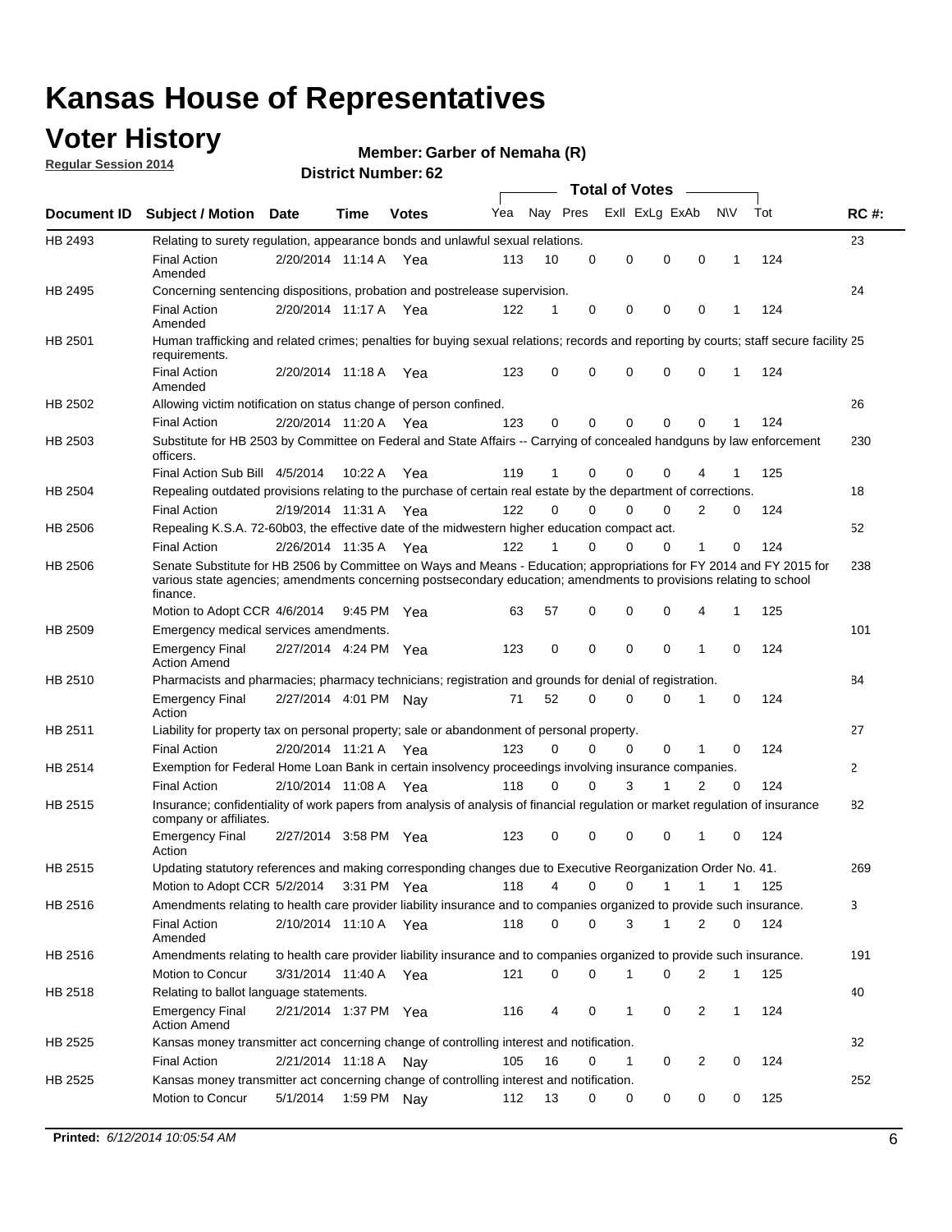### **Voter History**

**Regular Session 2014**

#### **Member: Garber of Nemaha (R)**

|                |                                                                                                                                                                                                                                                        |                       |             |              |     | <b>Total of Votes</b> |             |                |              |                |              |     |              |
|----------------|--------------------------------------------------------------------------------------------------------------------------------------------------------------------------------------------------------------------------------------------------------|-----------------------|-------------|--------------|-----|-----------------------|-------------|----------------|--------------|----------------|--------------|-----|--------------|
|                | Document ID Subject / Motion Date                                                                                                                                                                                                                      |                       | Time        | <b>Votes</b> | Yea | Nay Pres              |             | Exll ExLg ExAb |              |                | <b>NV</b>    | Tot | <b>RC#:</b>  |
| HB 2493        | Relating to surety regulation, appearance bonds and unlawful sexual relations.                                                                                                                                                                         |                       |             |              |     |                       |             |                |              |                |              |     | 23           |
|                | <b>Final Action</b><br>Amended                                                                                                                                                                                                                         | 2/20/2014 11:14 A Yea |             |              | 113 | 10                    | 0           | 0              | $\mathbf 0$  | 0              | $\mathbf{1}$ | 124 |              |
| HB 2495        | Concerning sentencing dispositions, probation and postrelease supervision.                                                                                                                                                                             |                       |             |              |     |                       |             |                |              |                |              |     | 24           |
|                | <b>Final Action</b><br>Amended                                                                                                                                                                                                                         | 2/20/2014 11:17 A Yea |             |              | 122 | 1                     | 0           | 0              | $\mathbf 0$  | 0              | -1           | 124 |              |
| HB 2501        | Human trafficking and related crimes; penalties for buying sexual relations; records and reporting by courts; staff secure facility 25<br>requirements.                                                                                                |                       |             |              |     |                       |             |                |              |                |              |     |              |
|                | <b>Final Action</b><br>Amended                                                                                                                                                                                                                         | 2/20/2014 11:18 A Yea |             |              | 123 | 0                     | 0           | 0              | $\Omega$     | 0              | $\mathbf{1}$ | 124 |              |
| HB 2502        | Allowing victim notification on status change of person confined.                                                                                                                                                                                      |                       |             |              |     |                       |             |                |              |                |              |     | 26           |
|                | <b>Final Action</b>                                                                                                                                                                                                                                    | 2/20/2014 11:20 A Yea |             |              | 123 | 0                     | 0           | $\Omega$       | $\Omega$     | 0              |              | 124 |              |
| HB 2503        | Substitute for HB 2503 by Committee on Federal and State Affairs -- Carrying of concealed handguns by law enforcement<br>officers.                                                                                                                     |                       |             |              |     |                       |             |                |              |                |              |     | 230          |
|                | Final Action Sub Bill 4/5/2014                                                                                                                                                                                                                         |                       | 10:22 A     | Yea          | 119 | 1                     | 0           | $\Omega$       | $\Omega$     | 4              |              | 125 |              |
| HB 2504        | Repealing outdated provisions relating to the purchase of certain real estate by the department of corrections.                                                                                                                                        |                       |             |              |     |                       |             |                |              |                |              |     | 18           |
|                | <b>Final Action</b>                                                                                                                                                                                                                                    | 2/19/2014 11:31 A Yea |             |              | 122 | $\Omega$              | $\Omega$    | $\Omega$       | $\Omega$     | 2              | 0            | 124 |              |
| <b>HB 2506</b> | Repealing K.S.A. 72-60b03, the effective date of the midwestern higher education compact act.                                                                                                                                                          |                       |             |              |     |                       |             |                |              |                |              |     | 52           |
|                | <b>Final Action</b>                                                                                                                                                                                                                                    | 2/26/2014 11:35 A Yea |             |              | 122 |                       | $\Omega$    | $\Omega$       | 0            | 1              | 0            | 124 |              |
| <b>HB 2506</b> | Senate Substitute for HB 2506 by Committee on Ways and Means - Education; appropriations for FY 2014 and FY 2015 for<br>various state agencies; amendments concerning postsecondary education; amendments to provisions relating to school<br>finance. |                       |             |              |     |                       |             |                |              |                |              |     | 238          |
|                | Motion to Adopt CCR 4/6/2014                                                                                                                                                                                                                           |                       | 9:45 PM Yea |              | 63  | 57                    | 0           | 0              | 0            | 4              | -1           | 125 |              |
| HB 2509        | Emergency medical services amendments.                                                                                                                                                                                                                 |                       |             |              |     |                       |             |                |              |                |              |     | 101          |
|                | <b>Emergency Final</b><br><b>Action Amend</b>                                                                                                                                                                                                          | 2/27/2014 4:24 PM Yea |             |              | 123 | 0                     | 0           | $\mathbf 0$    | $\mathbf 0$  | 1              | 0            | 124 |              |
| HB 2510        | Pharmacists and pharmacies; pharmacy technicians; registration and grounds for denial of registration.                                                                                                                                                 |                       |             |              |     |                       |             |                |              |                |              |     | 84           |
|                | <b>Emergency Final</b><br>Action                                                                                                                                                                                                                       | 2/27/2014 4:01 PM Nay |             |              | 71  | 52                    | $\Omega$    | 0              | $\Omega$     | 1              | 0            | 124 |              |
| HB 2511        | Liability for property tax on personal property; sale or abandonment of personal property.                                                                                                                                                             |                       |             |              |     |                       |             |                |              |                |              |     | 27           |
|                | <b>Final Action</b>                                                                                                                                                                                                                                    | 2/20/2014 11:21 A     |             | Yea          | 123 | $\Omega$              | $\Omega$    | $\Omega$       | 0            | 1              | 0            | 124 |              |
| HB 2514        | Exemption for Federal Home Loan Bank in certain insolvency proceedings involving insurance companies.                                                                                                                                                  |                       |             |              |     |                       |             |                |              |                |              |     | $\mathbf{2}$ |
|                | <b>Final Action</b>                                                                                                                                                                                                                                    | 2/10/2014 11:08 A Yea |             |              | 118 | 0                     | 0           | 3              | 1            | $\overline{2}$ | $\mathbf 0$  | 124 |              |
| HB 2515        | Insurance; confidentiality of work papers from analysis of analysis of financial regulation or market regulation of insurance<br>company or affiliates.                                                                                                |                       |             |              |     |                       |             |                |              |                |              |     | 82           |
|                | <b>Emergency Final</b><br>Action                                                                                                                                                                                                                       | 2/27/2014 3:58 PM Yea |             |              | 123 | 0                     | 0           | 0              | 0            | 1              | 0            | 124 |              |
| <b>HB 2515</b> | Updating statutory references and making corresponding changes due to Executive Reorganization Order No. 41.                                                                                                                                           |                       |             |              |     |                       |             |                |              |                |              |     | 269          |
|                | Motion to Adopt CCR 5/2/2014 3:31 PM Yea                                                                                                                                                                                                               |                       |             |              | 118 | 4                     | 0           | 0              | $\mathbf{1}$ | $\mathbf{1}$   | $\mathbf{1}$ | 125 |              |
| HB 2516        | Amendments relating to health care provider liability insurance and to companies organized to provide such insurance.                                                                                                                                  |                       |             |              |     |                       |             |                |              |                |              |     | 3            |
|                | <b>Final Action</b><br>Amended                                                                                                                                                                                                                         | 2/10/2014 11:10 A Yea |             |              | 118 | 0                     | $\mathbf 0$ | 3              | 1            | 2              | 0            | 124 |              |
| HB 2516        | Amendments relating to health care provider liability insurance and to companies organized to provide such insurance.                                                                                                                                  |                       |             |              |     |                       |             |                |              |                |              |     | 191          |
|                | Motion to Concur                                                                                                                                                                                                                                       | 3/31/2014 11:40 A Yea |             |              | 121 | 0                     | 0           | 1              | 0            | 2              | $\mathbf 1$  | 125 |              |
| HB 2518        | Relating to ballot language statements.                                                                                                                                                                                                                |                       |             |              |     |                       |             |                |              |                |              |     | 40           |
|                | <b>Emergency Final</b><br><b>Action Amend</b>                                                                                                                                                                                                          | 2/21/2014 1:37 PM Yea |             |              | 116 | 4                     | 0           | 1              | 0            | 2              | $\mathbf 1$  | 124 |              |
| HB 2525        | Kansas money transmitter act concerning change of controlling interest and notification.                                                                                                                                                               |                       |             |              |     |                       |             |                |              |                |              |     | 32           |
|                | <b>Final Action</b>                                                                                                                                                                                                                                    | 2/21/2014 11:18 A Nay |             |              | 105 | 16                    | 0           | 1              | 0            | $\overline{2}$ | 0            | 124 |              |
| HB 2525        | Kansas money transmitter act concerning change of controlling interest and notification.<br>Motion to Concur                                                                                                                                           | 5/1/2014              |             | 1:59 PM Nay  | 112 | 13                    | 0           | 0              | 0            | 0              | 0            | 125 | 252          |
|                |                                                                                                                                                                                                                                                        |                       |             |              |     |                       |             |                |              |                |              |     |              |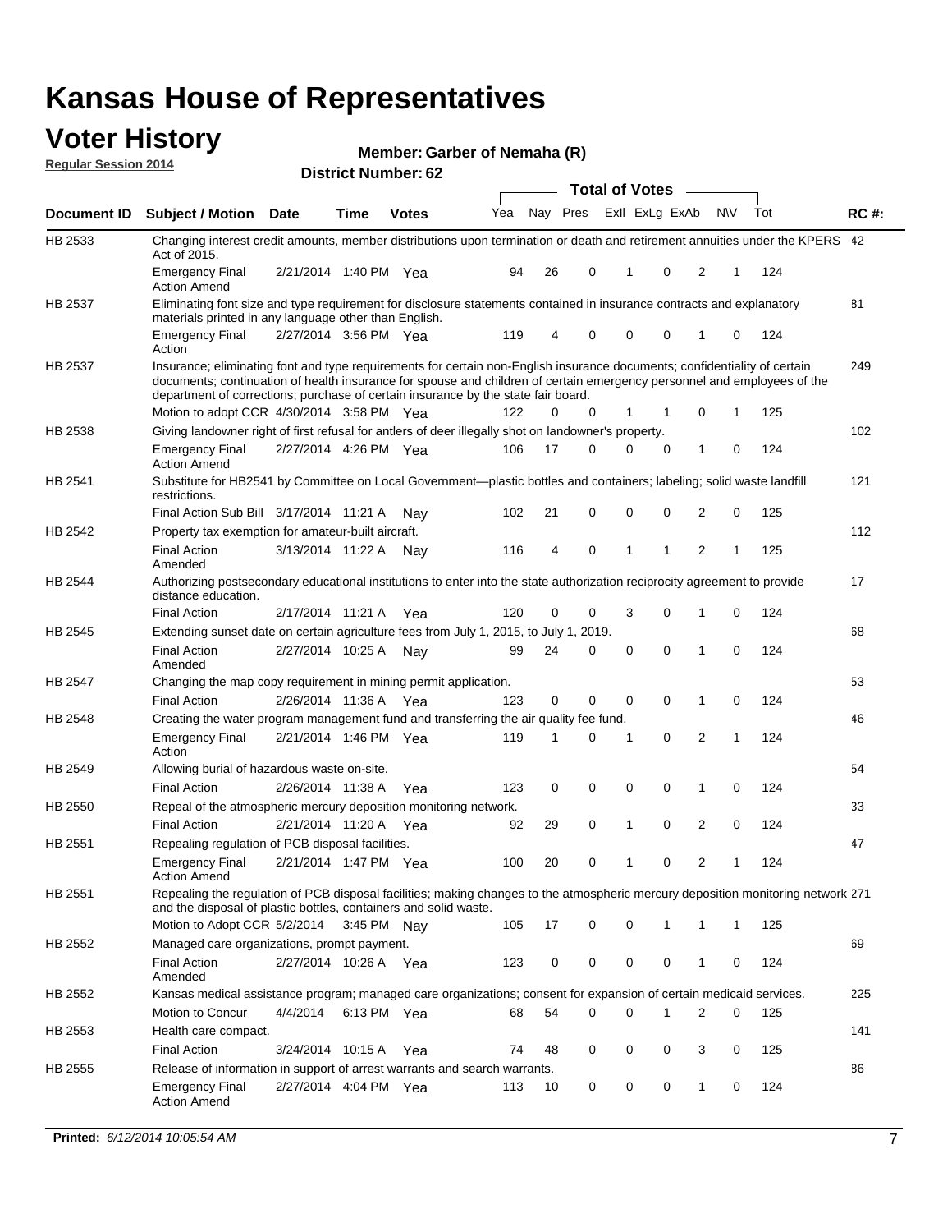#### **Voter History Regular Session 2014**

| Member: Garber of Nemaha (R) |  |  |
|------------------------------|--|--|
|------------------------------|--|--|

|             |                                                                                                                                                                                                                                                                                                                                           |                       | ul Ituliiwu . |              |     |    |                         | <b>Total of Votes</b> |             |              |              |     |             |
|-------------|-------------------------------------------------------------------------------------------------------------------------------------------------------------------------------------------------------------------------------------------------------------------------------------------------------------------------------------------|-----------------------|---------------|--------------|-----|----|-------------------------|-----------------------|-------------|--------------|--------------|-----|-------------|
| Document ID | Subject / Motion Date                                                                                                                                                                                                                                                                                                                     |                       | <b>Time</b>   | <b>Votes</b> | Yea |    | Nay Pres Exll ExLg ExAb |                       |             | <b>NV</b>    |              | Tot | <b>RC#:</b> |
| HB 2533     | Changing interest credit amounts, member distributions upon termination or death and retirement annuities under the KPERS 42<br>Act of 2015.                                                                                                                                                                                              |                       |               |              |     |    |                         |                       |             |              |              |     |             |
|             | <b>Emergency Final</b><br><b>Action Amend</b>                                                                                                                                                                                                                                                                                             | 2/21/2014 1:40 PM Yea |               |              | 94  | 26 | 0                       | $\mathbf 1$           | 0           | 2            | 1            | 124 |             |
| HB 2537     | Eliminating font size and type requirement for disclosure statements contained in insurance contracts and explanatory                                                                                                                                                                                                                     |                       |               |              |     |    |                         |                       |             |              |              |     | 81          |
|             | materials printed in any language other than English.<br><b>Emergency Final</b><br>Action                                                                                                                                                                                                                                                 | 2/27/2014 3:56 PM Yea |               |              | 119 | 4  | 0                       | 0                     | 0           | 1            | 0            | 124 |             |
| HB 2537     | Insurance; eliminating font and type requirements for certain non-English insurance documents; confidentiality of certain<br>documents; continuation of health insurance for spouse and children of certain emergency personnel and employees of the<br>department of corrections; purchase of certain insurance by the state fair board. |                       |               |              |     |    |                         |                       |             |              |              |     | 249         |
|             | Motion to adopt CCR 4/30/2014 3:58 PM Yea                                                                                                                                                                                                                                                                                                 |                       |               |              | 122 | 0  | 0                       | 1                     | 1           | 0            | 1            | 125 |             |
| HB 2538     | Giving landowner right of first refusal for antlers of deer illegally shot on landowner's property.                                                                                                                                                                                                                                       |                       |               |              |     |    |                         |                       |             |              |              |     | 102         |
|             | <b>Emergency Final</b><br><b>Action Amend</b>                                                                                                                                                                                                                                                                                             | 2/27/2014 4:26 PM Yea |               |              | 106 | 17 | 0                       | $\Omega$              | 0           | 1            | 0            | 124 |             |
| HB 2541     | Substitute for HB2541 by Committee on Local Government—plastic bottles and containers; labeling; solid waste landfill<br>restrictions.                                                                                                                                                                                                    |                       |               |              |     |    |                         |                       |             |              |              |     | 121         |
|             | Final Action Sub Bill 3/17/2014 11:21 A                                                                                                                                                                                                                                                                                                   |                       |               | Nav          | 102 | 21 | 0                       | 0                     | $\mathbf 0$ | 2            | 0            | 125 |             |
| HB 2542     | Property tax exemption for amateur-built aircraft.<br><b>Final Action</b><br>Amended                                                                                                                                                                                                                                                      | 3/13/2014 11:22 A     |               | Nav          | 116 | 4  | 0                       | $\mathbf{1}$          | 1           | 2            | 1            | 125 | 112         |
| HB 2544     | Authorizing postsecondary educational institutions to enter into the state authorization reciprocity agreement to provide<br>distance education.                                                                                                                                                                                          |                       |               |              |     |    |                         |                       |             |              |              |     | 17          |
|             | <b>Final Action</b>                                                                                                                                                                                                                                                                                                                       | 2/17/2014 11:21 A     |               | Yea          | 120 | 0  | 0                       | 3                     | 0           | 1            | 0            | 124 |             |
| HB 2545     | Extending sunset date on certain agriculture fees from July 1, 2015, to July 1, 2019.                                                                                                                                                                                                                                                     |                       |               |              |     |    |                         |                       |             |              |              |     | 68          |
|             | <b>Final Action</b><br>Amended                                                                                                                                                                                                                                                                                                            | 2/27/2014 10:25 A Nay |               |              | 99  | 24 | 0                       | 0                     | $\Omega$    | 1            | 0            | 124 |             |
| HB 2547     | Changing the map copy requirement in mining permit application.                                                                                                                                                                                                                                                                           |                       |               |              |     |    |                         |                       |             |              |              |     | 53          |
|             | <b>Final Action</b>                                                                                                                                                                                                                                                                                                                       | 2/26/2014 11:36 A     |               | Yea          | 123 | 0  | 0                       | $\mathbf 0$           | 0           | 1            | 0            | 124 |             |
| HB 2548     | Creating the water program management fund and transferring the air quality fee fund.                                                                                                                                                                                                                                                     |                       |               |              |     |    |                         |                       |             |              |              |     | 46          |
|             | <b>Emergency Final</b><br>Action                                                                                                                                                                                                                                                                                                          | 2/21/2014 1:46 PM Yea |               |              | 119 | 1  | 0                       | -1                    | 0           | 2            | 1            | 124 |             |
| HB 2549     | Allowing burial of hazardous waste on-site.                                                                                                                                                                                                                                                                                               |                       |               |              |     |    |                         |                       |             |              |              |     | 54          |
|             | <b>Final Action</b>                                                                                                                                                                                                                                                                                                                       | 2/26/2014 11:38 A     |               | Yea          | 123 | 0  | 0                       | 0                     | 0           | 1            | 0            | 124 |             |
| HB 2550     | Repeal of the atmospheric mercury deposition monitoring network.                                                                                                                                                                                                                                                                          |                       |               |              |     |    |                         |                       |             |              |              |     | 33          |
|             | <b>Final Action</b>                                                                                                                                                                                                                                                                                                                       | 2/21/2014 11:20 A     |               | Yea          | 92  | 29 | 0                       | $\mathbf{1}$          | 0           | 2            | 0            | 124 |             |
| HB 2551     | Repealing regulation of PCB disposal facilities.                                                                                                                                                                                                                                                                                          |                       |               |              |     |    |                         |                       |             |              |              |     | 47          |
|             | <b>Emergency Final</b><br>Action Amend                                                                                                                                                                                                                                                                                                    | 2/21/2014 1:47 PM Yea |               |              | 100 | 20 | 0                       | $\mathbf{1}$          | 0           | 2            | 1            | 124 |             |
| HB 2551     | Repealing the regulation of PCB disposal facilities; making changes to the atmospheric mercury deposition monitoring network 271<br>and the disposal of plastic bottles, containers and solid waste.                                                                                                                                      |                       |               |              |     |    |                         |                       |             |              |              |     |             |
|             | Motion to Adopt CCR 5/2/2014                                                                                                                                                                                                                                                                                                              |                       | 3:45 PM Nav   |              | 105 | 17 | 0                       | 0                     | 1           | 1            | $\mathbf{1}$ | 125 |             |
| HB 2552     | Managed care organizations, prompt payment.                                                                                                                                                                                                                                                                                               |                       |               |              |     |    |                         |                       |             |              |              |     | 69          |
|             | <b>Final Action</b><br>Amended                                                                                                                                                                                                                                                                                                            | 2/27/2014 10:26 A Yea |               |              | 123 | 0  | 0                       | 0                     | 0           | $\mathbf{1}$ | 0            | 124 |             |
| HB 2552     | Kansas medical assistance program; managed care organizations; consent for expansion of certain medicaid services.                                                                                                                                                                                                                        |                       |               |              |     |    |                         |                       |             |              |              |     | 225         |
|             | <b>Motion to Concur</b>                                                                                                                                                                                                                                                                                                                   | 4/4/2014              | 6:13 PM Yea   |              | 68  | 54 | 0                       | $\mathbf 0$           | 1           | 2            | 0            | 125 |             |
| HB 2553     | Health care compact.                                                                                                                                                                                                                                                                                                                      |                       |               |              |     |    |                         |                       |             |              |              |     | 141         |
|             | <b>Final Action</b>                                                                                                                                                                                                                                                                                                                       | 3/24/2014 10:15 A     |               | Yea          | 74  | 48 | 0                       | 0                     | 0           | 3            | 0            | 125 |             |
| HB 2555     | Release of information in support of arrest warrants and search warrants.                                                                                                                                                                                                                                                                 |                       |               |              |     |    |                         |                       |             |              |              |     | 86          |
|             | <b>Emergency Final</b><br><b>Action Amend</b>                                                                                                                                                                                                                                                                                             | 2/27/2014 4:04 PM Yea |               |              | 113 | 10 | 0                       | 0                     | 0           | 1            | 0            | 124 |             |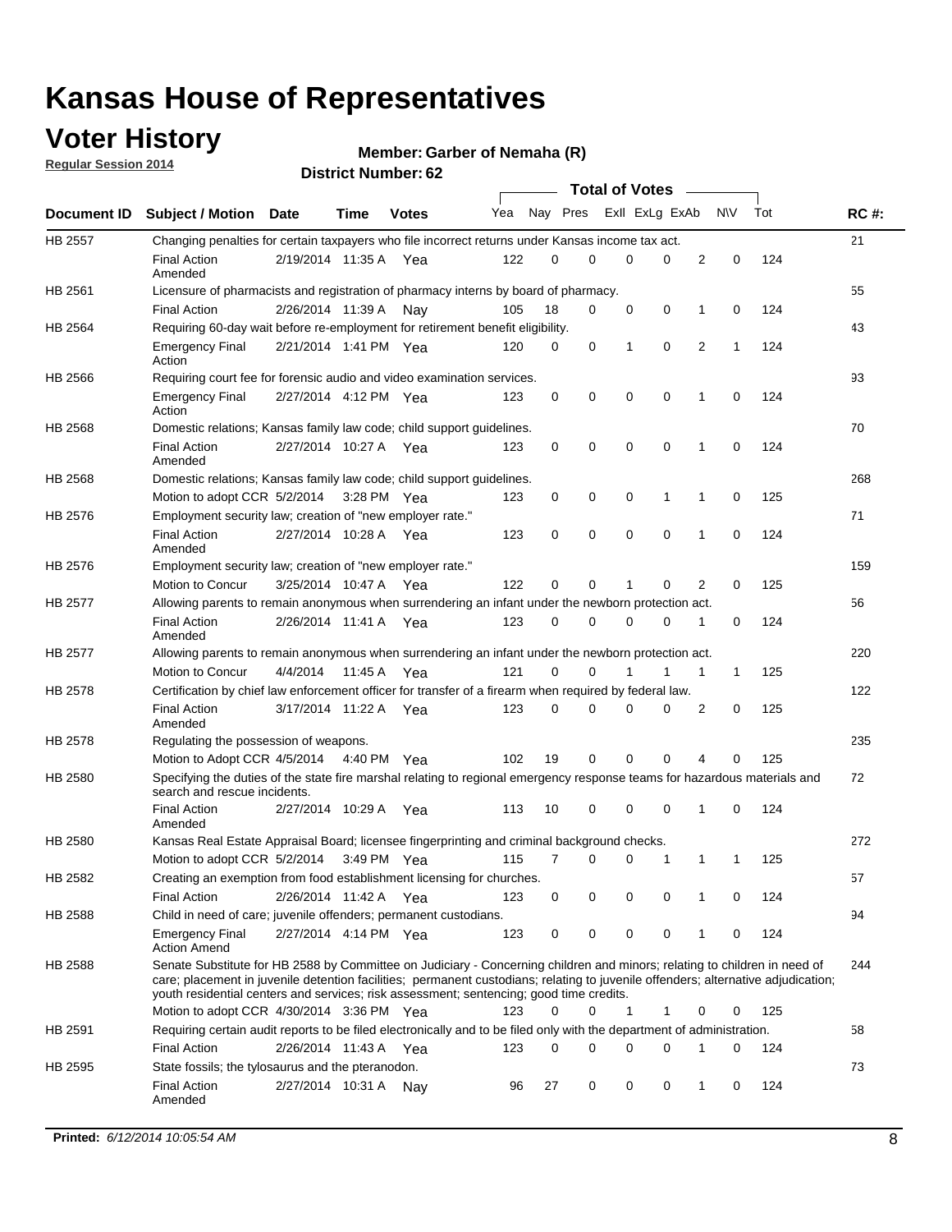### **Voter History**

**Regular Session 2014**

#### **Member: Garber of Nemaha (R)**

|                |                                                                                                                                                                                                                                                                                                                                                           |                       |             |              |     |          |   | <b>Total of Votes</b> |             |              |              |     |             |
|----------------|-----------------------------------------------------------------------------------------------------------------------------------------------------------------------------------------------------------------------------------------------------------------------------------------------------------------------------------------------------------|-----------------------|-------------|--------------|-----|----------|---|-----------------------|-------------|--------------|--------------|-----|-------------|
|                | Document ID Subject / Motion Date                                                                                                                                                                                                                                                                                                                         |                       | Time        | <b>Votes</b> | Yea | Nay Pres |   | Exll ExLg ExAb        |             |              | <b>NV</b>    | Tot | <b>RC#:</b> |
| <b>HB 2557</b> | Changing penalties for certain taxpayers who file incorrect returns under Kansas income tax act.                                                                                                                                                                                                                                                          |                       |             |              |     |          |   |                       |             |              |              |     | 21          |
|                | <b>Final Action</b><br>Amended                                                                                                                                                                                                                                                                                                                            | 2/19/2014 11:35 A     |             | Yea          | 122 | 0        | 0 | 0                     | 0           | 2            | 0            | 124 |             |
| HB 2561        | Licensure of pharmacists and registration of pharmacy interns by board of pharmacy.                                                                                                                                                                                                                                                                       |                       |             |              |     |          |   |                       |             |              |              |     | 55          |
|                | <b>Final Action</b>                                                                                                                                                                                                                                                                                                                                       | 2/26/2014 11:39 A     |             | Nav          | 105 | 18       | 0 | 0                     | 0           | 1            | 0            | 124 |             |
| HB 2564        | Requiring 60-day wait before re-employment for retirement benefit eligibility.                                                                                                                                                                                                                                                                            |                       |             |              |     |          |   |                       |             |              |              |     | 43          |
|                | <b>Emergency Final</b><br>Action                                                                                                                                                                                                                                                                                                                          | 2/21/2014 1:41 PM Yea |             |              | 120 | 0        | 0 | 1                     | 0           | 2            | 1            | 124 |             |
| HB 2566        | Requiring court fee for forensic audio and video examination services.                                                                                                                                                                                                                                                                                    |                       |             |              |     |          |   |                       |             |              |              |     | 93          |
|                | <b>Emergency Final</b><br>Action                                                                                                                                                                                                                                                                                                                          | 2/27/2014 4:12 PM Yea |             |              | 123 | 0        | 0 | 0                     | $\mathbf 0$ | 1            | $\mathbf 0$  | 124 |             |
| HB 2568        | Domestic relations; Kansas family law code; child support guidelines.                                                                                                                                                                                                                                                                                     |                       |             |              |     |          |   |                       |             |              |              |     | 70          |
|                | <b>Final Action</b><br>Amended                                                                                                                                                                                                                                                                                                                            | 2/27/2014 10:27 A     |             | Yea          | 123 | 0        | 0 | 0                     | 0           | 1            | 0            | 124 |             |
| HB 2568        | Domestic relations; Kansas family law code; child support guidelines.                                                                                                                                                                                                                                                                                     |                       |             |              |     |          |   |                       |             |              |              |     | 268         |
|                | Motion to adopt CCR 5/2/2014                                                                                                                                                                                                                                                                                                                              |                       | 3:28 PM Yea |              | 123 | 0        | 0 | 0                     | 1           | 1            | 0            | 125 |             |
| HB 2576        | Employment security law; creation of "new employer rate."                                                                                                                                                                                                                                                                                                 |                       |             |              |     |          |   |                       |             |              |              |     | 71          |
|                | <b>Final Action</b><br>Amended                                                                                                                                                                                                                                                                                                                            | 2/27/2014 10:28 A     |             | Yea          | 123 | 0        | 0 | 0                     | $\mathbf 0$ | 1            | 0            | 124 |             |
| HB 2576        | Employment security law; creation of "new employer rate."                                                                                                                                                                                                                                                                                                 |                       |             |              |     |          |   |                       |             |              |              |     | 159         |
|                | Motion to Concur                                                                                                                                                                                                                                                                                                                                          | 3/25/2014 10:47 A     |             | Yea          | 122 | 0        | 0 | 1                     | 0           | 2            | 0            | 125 |             |
| HB 2577        | Allowing parents to remain anonymous when surrendering an infant under the newborn protection act.                                                                                                                                                                                                                                                        |                       |             |              |     |          |   |                       |             |              |              |     | 56          |
|                | <b>Final Action</b><br>Amended                                                                                                                                                                                                                                                                                                                            | 2/26/2014 11:41 A Yea |             |              | 123 | 0        | 0 | 0                     | $\Omega$    | 1            | 0            | 124 |             |
| HB 2577        | Allowing parents to remain anonymous when surrendering an infant under the newborn protection act.                                                                                                                                                                                                                                                        |                       |             |              |     |          |   |                       |             |              |              |     | 220         |
|                | Motion to Concur                                                                                                                                                                                                                                                                                                                                          | 4/4/2014              | 11:45 A     | Yea          | 121 | $\Omega$ | 0 |                       | 1           | $\mathbf{1}$ | $\mathbf{1}$ | 125 |             |
| HB 2578        | Certification by chief law enforcement officer for transfer of a firearm when required by federal law.                                                                                                                                                                                                                                                    |                       |             |              |     |          |   |                       |             |              |              |     | 122         |
|                | <b>Final Action</b><br>Amended                                                                                                                                                                                                                                                                                                                            | 3/17/2014 11:22 A     |             | Yea          | 123 | 0        | 0 | 0                     | $\Omega$    | 2            | 0            | 125 |             |
| HB 2578        | Regulating the possession of weapons.                                                                                                                                                                                                                                                                                                                     |                       |             |              |     |          |   |                       |             |              |              |     | 235         |
|                | Motion to Adopt CCR 4/5/2014 4:40 PM Yea                                                                                                                                                                                                                                                                                                                  |                       |             |              | 102 | 19       | 0 | 0                     | 0           | 4            | $\Omega$     | 125 |             |
| HB 2580        | Specifying the duties of the state fire marshal relating to regional emergency response teams for hazardous materials and<br>search and rescue incidents.                                                                                                                                                                                                 |                       |             |              |     |          |   |                       |             |              |              |     | 72          |
|                | <b>Final Action</b><br>Amended                                                                                                                                                                                                                                                                                                                            | 2/27/2014 10:29 A     |             | Yea          | 113 | 10       | 0 | 0                     | 0           | 1            | 0            | 124 |             |
| HB 2580        | Kansas Real Estate Appraisal Board; licensee fingerprinting and criminal background checks.                                                                                                                                                                                                                                                               |                       |             |              |     |          |   |                       |             |              |              |     | 272         |
|                | Motion to adopt CCR 5/2/2014                                                                                                                                                                                                                                                                                                                              |                       |             | 3:49 PM Yea  | 115 | 7        | 0 | 0                     | 1           | 1            | -1           | 125 |             |
| HB 2582        | Creating an exemption from food establishment licensing for churches.                                                                                                                                                                                                                                                                                     |                       |             |              |     |          |   |                       |             |              |              |     | 57          |
|                | <b>Final Action</b>                                                                                                                                                                                                                                                                                                                                       | 2/26/2014 11:42 A Yea |             |              | 123 | 0        | 0 | 0                     | 0           | 1            | 0            | 124 |             |
| HB 2588        | Child in need of care; juvenile offenders; permanent custodians.                                                                                                                                                                                                                                                                                          |                       |             |              |     |          |   |                       |             |              |              |     | 94          |
|                | <b>Emergency Final</b><br><b>Action Amend</b>                                                                                                                                                                                                                                                                                                             | 2/27/2014 4:14 PM Yea |             |              | 123 | 0        | 0 | 0                     | 0           | 1            | 0            | 124 |             |
| HB 2588        | Senate Substitute for HB 2588 by Committee on Judiciary - Concerning children and minors; relating to children in need of<br>care; placement in juvenile detention facilities; permanent custodians; relating to juvenile offenders; alternative adjudication;<br>youth residential centers and services; risk assessment; sentencing; good time credits. |                       |             |              |     |          |   |                       |             |              |              |     | 244         |
|                | Motion to adopt CCR 4/30/2014 3:36 PM Yea                                                                                                                                                                                                                                                                                                                 |                       |             |              | 123 | 0        | 0 | 1                     | 1           | 0            | 0            | 125 |             |
| HB 2591        | Requiring certain audit reports to be filed electronically and to be filed only with the department of administration.                                                                                                                                                                                                                                    |                       |             |              |     |          |   |                       |             |              |              |     | 58          |
|                | <b>Final Action</b>                                                                                                                                                                                                                                                                                                                                       | 2/26/2014 11:43 A Yea |             |              | 123 | 0        | 0 | 0                     | 0           | 1            | 0            | 124 |             |
| HB 2595        | State fossils; the tylosaurus and the pteranodon.                                                                                                                                                                                                                                                                                                         |                       |             |              |     |          |   |                       |             |              |              |     | 73          |
|                | <b>Final Action</b><br>Amended                                                                                                                                                                                                                                                                                                                            | 2/27/2014 10:31 A Nay |             |              | 96  | 27       | 0 | 0                     | 0           | 1            | 0            | 124 |             |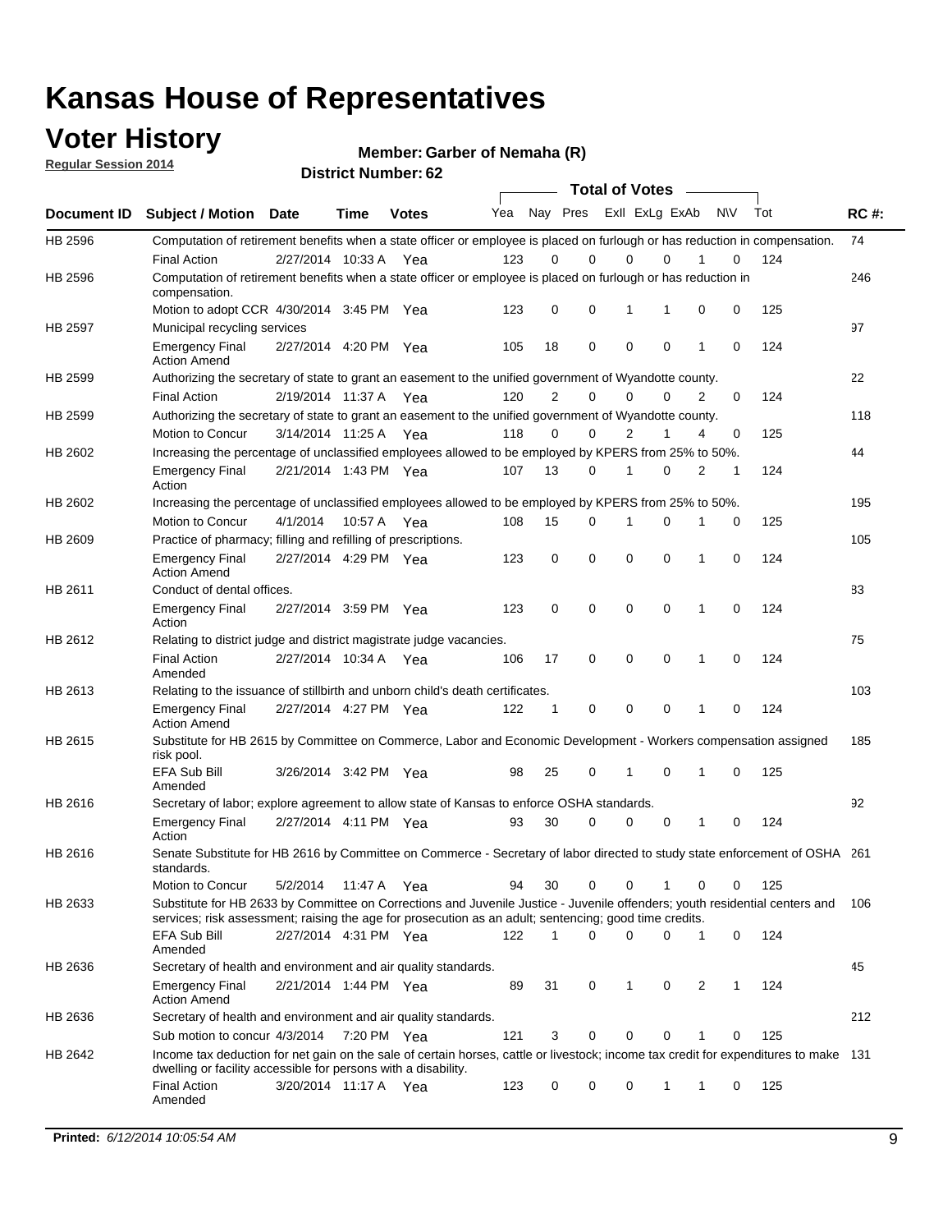### **Voter History**

**Regular Session 2014**

**Member: Garber of Nemaha (R)** 

|                |                                                                                                                                                                                                                                       |                       |             | DISTRICT MAILINGL. 02 |     |                |             | <b>Total of Votes</b> |             |                |   |           |     |             |
|----------------|---------------------------------------------------------------------------------------------------------------------------------------------------------------------------------------------------------------------------------------|-----------------------|-------------|-----------------------|-----|----------------|-------------|-----------------------|-------------|----------------|---|-----------|-----|-------------|
| Document ID    | <b>Subject / Motion Date</b>                                                                                                                                                                                                          |                       | Time        | <b>Votes</b>          | Yea |                | Nay Pres    |                       |             | Exll ExLg ExAb |   | <b>NV</b> | Tot | <b>RC#:</b> |
| HB 2596        | Computation of retirement benefits when a state officer or employee is placed on furlough or has reduction in compensation.                                                                                                           |                       |             |                       |     |                |             |                       |             |                |   |           |     | 74          |
|                | <b>Final Action</b>                                                                                                                                                                                                                   | 2/27/2014 10:33 A     |             | Yea                   | 123 | 0              | 0           |                       | 0           | $\Omega$       |   | 0         | 124 |             |
| HB 2596        | Computation of retirement benefits when a state officer or employee is placed on furlough or has reduction in<br>compensation.                                                                                                        |                       |             |                       |     |                |             |                       |             |                |   |           |     | 246         |
|                | Motion to adopt CCR 4/30/2014 3:45 PM Yea                                                                                                                                                                                             |                       |             |                       | 123 | 0              | 0           |                       | 1           | 1              | 0 | 0         | 125 |             |
| <b>HB 2597</b> | Municipal recycling services                                                                                                                                                                                                          |                       |             |                       |     |                |             |                       |             |                |   |           |     | 97          |
|                | <b>Emergency Final</b><br><b>Action Amend</b>                                                                                                                                                                                         | 2/27/2014 4:20 PM Yea |             |                       | 105 | 18             | $\mathbf 0$ |                       | $\mathbf 0$ | $\mathbf 0$    | 1 | 0         | 124 |             |
| HB 2599        | Authorizing the secretary of state to grant an easement to the unified government of Wyandotte county.                                                                                                                                |                       |             |                       |     |                |             |                       |             |                |   |           |     | 22          |
|                | <b>Final Action</b>                                                                                                                                                                                                                   | 2/19/2014 11:37 A     |             | Yea                   | 120 | $\overline{2}$ | 0           |                       | $\mathbf 0$ | $\Omega$       | 2 | 0         | 124 |             |
| HB 2599        | Authorizing the secretary of state to grant an easement to the unified government of Wyandotte county.                                                                                                                                |                       |             |                       |     |                |             |                       |             |                |   |           |     | 118         |
|                | Motion to Concur                                                                                                                                                                                                                      | 3/14/2014 11:25 A     |             | Yea                   | 118 | $\Omega$       | 0           |                       | 2           | 1              | 4 | 0         | 125 |             |
| HB 2602        | Increasing the percentage of unclassified employees allowed to be employed by KPERS from 25% to 50%.                                                                                                                                  |                       |             |                       |     |                |             |                       |             |                |   |           |     | 44          |
|                | <b>Emergency Final</b><br>Action                                                                                                                                                                                                      | 2/21/2014 1:43 PM Yea |             |                       | 107 | 13             | 0           |                       | 1           | $\mathbf 0$    | 2 | 1         | 124 |             |
| HB 2602        | Increasing the percentage of unclassified employees allowed to be employed by KPERS from 25% to 50%.                                                                                                                                  |                       |             |                       |     |                |             |                       |             |                |   |           |     | 195         |
|                | Motion to Concur                                                                                                                                                                                                                      | 4/1/2014              | 10:57 A Yea |                       | 108 | 15             | 0           |                       | 1           | 0              | 1 | 0         | 125 |             |
| HB 2609        | Practice of pharmacy; filling and refilling of prescriptions.                                                                                                                                                                         |                       |             |                       |     |                |             |                       |             |                |   |           |     | 105         |
|                | <b>Emergency Final</b><br><b>Action Amend</b>                                                                                                                                                                                         | 2/27/2014 4:29 PM Yea |             |                       | 123 | 0              | $\mathbf 0$ |                       | $\mathbf 0$ | $\mathbf 0$    | 1 | 0         | 124 |             |
| HB 2611        | Conduct of dental offices.                                                                                                                                                                                                            |                       |             |                       |     |                |             |                       |             |                |   |           |     | 83          |
|                | <b>Emergency Final</b><br>Action                                                                                                                                                                                                      | 2/27/2014 3:59 PM Yea |             |                       | 123 | $\mathbf 0$    | $\mathbf 0$ |                       | $\mathbf 0$ | $\mathbf 0$    | 1 | 0         | 124 |             |
| HB 2612        | Relating to district judge and district magistrate judge vacancies.                                                                                                                                                                   |                       |             |                       |     |                |             |                       |             |                |   |           |     | 75          |
|                | <b>Final Action</b><br>Amended                                                                                                                                                                                                        | 2/27/2014 10:34 A     |             | Yea                   | 106 | 17             | 0           |                       | $\mathbf 0$ | 0              | 1 | 0         | 124 |             |
| HB 2613        | Relating to the issuance of stillbirth and unborn child's death certificates.                                                                                                                                                         |                       |             |                       |     |                |             |                       |             |                |   |           |     | 103         |
|                | <b>Emergency Final</b><br><b>Action Amend</b>                                                                                                                                                                                         | 2/27/2014 4:27 PM Yea |             |                       | 122 | 1              | 0           |                       | $\mathbf 0$ | $\Omega$       | 1 | 0         | 124 |             |
| HB 2615        | Substitute for HB 2615 by Committee on Commerce, Labor and Economic Development - Workers compensation assigned<br>risk pool.                                                                                                         |                       |             |                       |     |                |             |                       |             |                |   |           |     | 185         |
|                | EFA Sub Bill<br>Amended                                                                                                                                                                                                               | 3/26/2014 3:42 PM Yea |             |                       | 98  | 25             | 0           |                       | 1           | 0              | 1 | 0         | 125 |             |
| HB 2616        | Secretary of labor; explore agreement to allow state of Kansas to enforce OSHA standards.                                                                                                                                             |                       |             |                       |     |                |             |                       |             |                |   |           |     | 92          |
|                | <b>Emergency Final</b><br>Action                                                                                                                                                                                                      | 2/27/2014 4:11 PM Yea |             |                       | 93  | 30             | 0           |                       | 0           | 0              | 1 | 0         | 124 |             |
| HB 2616        | Senate Substitute for HB 2616 by Committee on Commerce - Secretary of labor directed to study state enforcement of OSHA 261<br>standards.                                                                                             |                       |             |                       |     |                |             |                       |             |                |   |           |     |             |
|                | <b>Motion to Concur</b>                                                                                                                                                                                                               | 5/2/2014              | 11:47 A Yea |                       | 94  | 30             | 0           |                       | 0           |                | 0 | 0         | 125 |             |
| HB 2633        | Substitute for HB 2633 by Committee on Corrections and Juvenile Justice - Juvenile offenders; youth residential centers and<br>services; risk assessment; raising the age for prosecution as an adult; sentencing; good time credits. |                       |             |                       |     |                |             |                       |             |                |   |           |     | 106         |
|                | EFA Sub Bill<br>Amended                                                                                                                                                                                                               | 2/27/2014 4:31 PM Yea |             |                       | 122 | $\mathbf{1}$   | $\Omega$    |                       | $\mathbf 0$ | 0              | 1 | 0         | 124 |             |
| HB 2636        | Secretary of health and environment and air quality standards.                                                                                                                                                                        |                       |             |                       |     |                |             |                       |             |                |   |           |     | 45          |
|                | <b>Emergency Final</b><br><b>Action Amend</b>                                                                                                                                                                                         | 2/21/2014 1:44 PM Yea |             |                       | 89  | 31             | 0           |                       | 1           | 0              | 2 | 1         | 124 |             |
| HB 2636        | Secretary of health and environment and air quality standards.                                                                                                                                                                        |                       |             |                       |     |                |             |                       |             |                |   |           |     | 212         |
|                | Sub motion to concur 4/3/2014 7:20 PM Yea                                                                                                                                                                                             |                       |             |                       | 121 | 3              | 0           |                       | 0           | 0              |   | 0         | 125 |             |
| HB 2642        | Income tax deduction for net gain on the sale of certain horses, cattle or livestock; income tax credit for expenditures to make 131<br>dwelling or facility accessible for persons with a disability.                                |                       |             |                       |     |                |             |                       |             |                |   |           |     |             |
|                | <b>Final Action</b><br>Amended                                                                                                                                                                                                        | 3/20/2014 11:17 A Yea |             |                       | 123 | 0              | 0           |                       | 0           | 1              | 1 | 0         | 125 |             |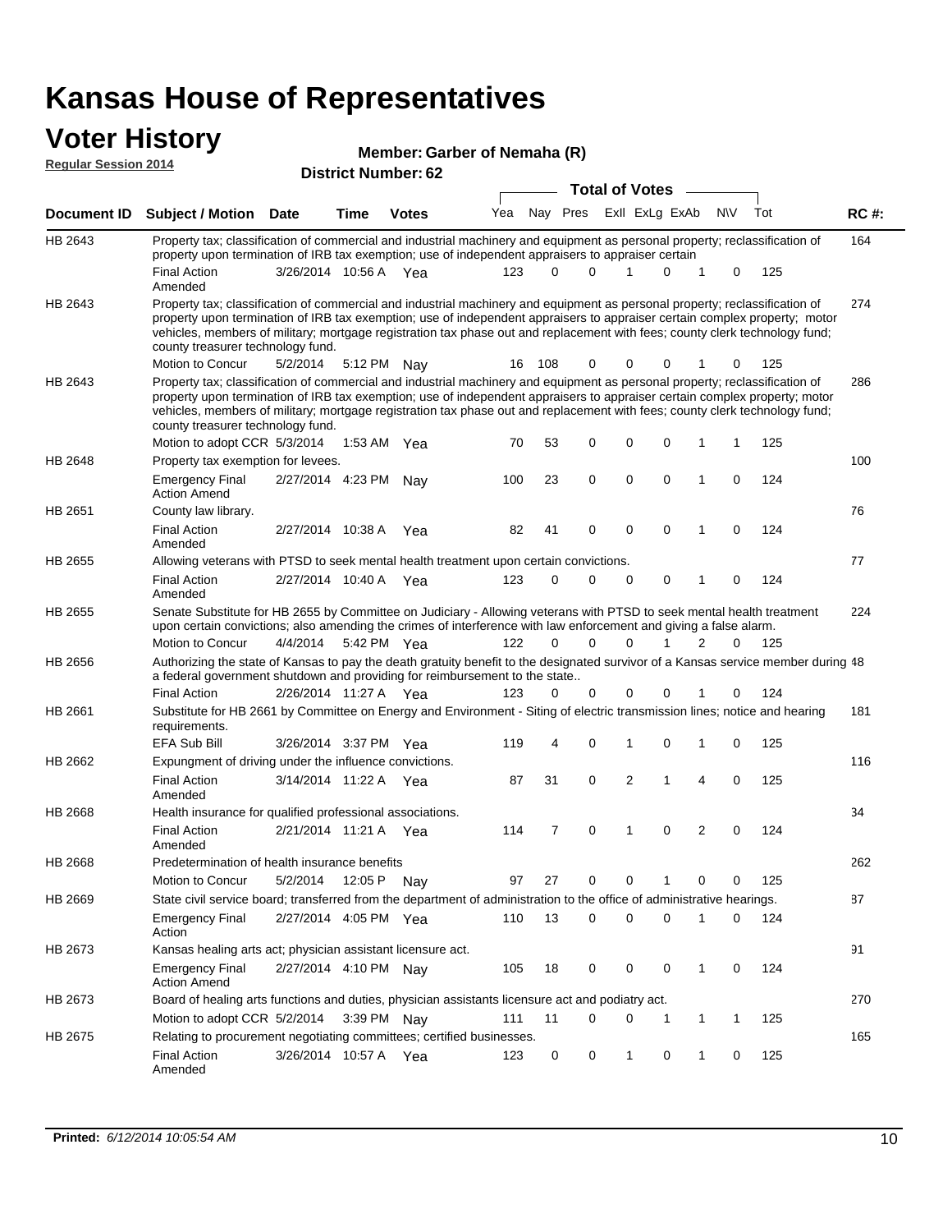#### **Voter History Regular Session 2014**

| Member: Garber of Nemaha (R) |  |
|------------------------------|--|
|                              |  |

|             | <b>District Number: 62</b><br><b>Total of Votes</b>                                                                                                                                                                                                                                                                                                                                                                           |                       |         |               |     |          |          |  |             |                |                |             |     |             |
|-------------|-------------------------------------------------------------------------------------------------------------------------------------------------------------------------------------------------------------------------------------------------------------------------------------------------------------------------------------------------------------------------------------------------------------------------------|-----------------------|---------|---------------|-----|----------|----------|--|-------------|----------------|----------------|-------------|-----|-------------|
|             |                                                                                                                                                                                                                                                                                                                                                                                                                               |                       |         |               |     |          |          |  |             |                |                |             |     |             |
| Document ID | <b>Subject / Motion Date</b>                                                                                                                                                                                                                                                                                                                                                                                                  |                       | Time    | <b>Votes</b>  | Yea |          | Nay Pres |  |             | Exll ExLg ExAb |                | <b>NV</b>   | Tot | <b>RC#:</b> |
| HB 2643     | Property tax; classification of commercial and industrial machinery and equipment as personal property; reclassification of                                                                                                                                                                                                                                                                                                   |                       |         |               |     |          |          |  |             |                |                |             |     | 164         |
|             | property upon termination of IRB tax exemption; use of independent appraisers to appraiser certain                                                                                                                                                                                                                                                                                                                            |                       |         |               |     | $\Omega$ | $\Omega$ |  |             | $\Omega$       | 1              |             |     |             |
|             | <b>Final Action</b><br>Amended                                                                                                                                                                                                                                                                                                                                                                                                | 3/26/2014 10:56 A Yea |         |               | 123 |          |          |  |             |                |                | 0           | 125 |             |
| HB 2643     | Property tax; classification of commercial and industrial machinery and equipment as personal property; reclassification of<br>property upon termination of IRB tax exemption; use of independent appraisers to appraiser certain complex property; motor<br>vehicles, members of military; mortgage registration tax phase out and replacement with fees; county clerk technology fund;<br>county treasurer technology fund. |                       |         |               |     |          |          |  |             |                |                |             |     | 274         |
|             | Motion to Concur                                                                                                                                                                                                                                                                                                                                                                                                              | 5/2/2014              |         | 5:12 PM Nay   | 16  | 108      | 0        |  | 0           | $\Omega$       |                | 0           | 125 |             |
| HB 2643     | Property tax; classification of commercial and industrial machinery and equipment as personal property; reclassification of<br>property upon termination of IRB tax exemption; use of independent appraisers to appraiser certain complex property; motor<br>vehicles, members of military; mortgage registration tax phase out and replacement with fees; county clerk technology fund;<br>county treasurer technology fund. |                       |         |               |     |          |          |  |             |                |                |             |     | 286         |
|             | Motion to adopt CCR 5/3/2014                                                                                                                                                                                                                                                                                                                                                                                                  |                       |         | 1:53 AM $Yea$ | 70  | 53       | 0        |  | 0           | $\mathbf 0$    | 1              | 1           | 125 |             |
| HB 2648     | Property tax exemption for levees.                                                                                                                                                                                                                                                                                                                                                                                            |                       |         |               |     |          |          |  |             |                |                |             |     | 100         |
|             | <b>Emergency Final</b><br><b>Action Amend</b>                                                                                                                                                                                                                                                                                                                                                                                 | 2/27/2014 4:23 PM Nay |         |               | 100 | 23       | 0        |  | $\mathbf 0$ | $\mathbf 0$    | 1              | 0           | 124 |             |
| HB 2651     | County law library.                                                                                                                                                                                                                                                                                                                                                                                                           |                       |         |               |     |          |          |  |             |                |                |             |     | 76          |
|             | <b>Final Action</b><br>Amended                                                                                                                                                                                                                                                                                                                                                                                                | 2/27/2014 10:38 A     |         | Yea           | 82  | 41       | 0        |  | $\mathbf 0$ | $\mathbf 0$    | $\mathbf{1}$   | $\mathbf 0$ | 124 |             |
| HB 2655     | Allowing veterans with PTSD to seek mental health treatment upon certain convictions.                                                                                                                                                                                                                                                                                                                                         |                       |         |               |     |          |          |  |             |                |                |             |     | 77          |
|             | <b>Final Action</b><br>Amended                                                                                                                                                                                                                                                                                                                                                                                                | 2/27/2014 10:40 A     |         | Yea           | 123 | 0        | 0        |  | 0           | 0              | $\mathbf 1$    | 0           | 124 |             |
| HB 2655     | Senate Substitute for HB 2655 by Committee on Judiciary - Allowing veterans with PTSD to seek mental health treatment<br>upon certain convictions; also amending the crimes of interference with law enforcement and giving a false alarm.                                                                                                                                                                                    |                       |         |               |     |          |          |  |             |                |                |             |     | 224         |
|             | Motion to Concur                                                                                                                                                                                                                                                                                                                                                                                                              | 4/4/2014              |         | 5:42 PM Yea   | 122 | $\Omega$ | $\Omega$ |  | 0           | 1              | 2              | $\Omega$    | 125 |             |
| HB 2656     | Authorizing the state of Kansas to pay the death gratuity benefit to the designated survivor of a Kansas service member during 48<br>a federal government shutdown and providing for reimbursement to the state                                                                                                                                                                                                               |                       |         |               |     |          |          |  |             |                |                |             |     |             |
|             | <b>Final Action</b>                                                                                                                                                                                                                                                                                                                                                                                                           | 2/26/2014 11:27 A     |         | Yea           | 123 | 0        | 0        |  | 0           | $\Omega$       | 1              | 0           | 124 |             |
| HB 2661     | Substitute for HB 2661 by Committee on Energy and Environment - Siting of electric transmission lines; notice and hearing<br>requirements.                                                                                                                                                                                                                                                                                    |                       |         |               |     |          |          |  |             |                |                |             |     | 181         |
|             | <b>EFA Sub Bill</b>                                                                                                                                                                                                                                                                                                                                                                                                           | 3/26/2014 3:37 PM Yea |         |               | 119 | 4        | 0        |  | 1           | $\mathbf 0$    | 1              | 0           | 125 |             |
| HB 2662     | Expungment of driving under the influence convictions.                                                                                                                                                                                                                                                                                                                                                                        |                       |         |               |     |          |          |  |             |                |                |             |     | 116         |
|             | <b>Final Action</b><br>Amended                                                                                                                                                                                                                                                                                                                                                                                                | 3/14/2014 11:22 A     |         | Yea           | 87  | 31       | 0        |  | 2           | 1              | $\overline{4}$ | 0           | 125 |             |
| HB 2668     | Health insurance for qualified professional associations.                                                                                                                                                                                                                                                                                                                                                                     |                       |         |               |     |          |          |  |             |                |                |             |     | 34          |
|             | <b>Final Action</b><br>Amended                                                                                                                                                                                                                                                                                                                                                                                                | 2/21/2014 11:21 A Yea |         |               | 114 | 7        | 0        |  | 1           | $\mathbf 0$    | 2              | $\Omega$    | 124 |             |
| HB 2668     | Predetermination of health insurance benefits                                                                                                                                                                                                                                                                                                                                                                                 |                       |         |               |     |          |          |  |             |                |                |             |     | 262         |
|             | Motion to Concur                                                                                                                                                                                                                                                                                                                                                                                                              | 5/2/2014              | 12:05 P | Nay           | 97  | 27       | 0        |  | 0           |                | 0              | 0           | 125 |             |
| HB 2669     | State civil service board; transferred from the department of administration to the office of administrative hearings.                                                                                                                                                                                                                                                                                                        |                       |         |               |     |          |          |  |             |                |                |             |     | 87          |
|             | <b>Emergency Final</b><br>Action                                                                                                                                                                                                                                                                                                                                                                                              | 2/27/2014 4:05 PM Yea |         |               | 110 | 13       | 0        |  | 0           | 0              | 1              | 0           | 124 |             |
| HB 2673     | Kansas healing arts act; physician assistant licensure act.                                                                                                                                                                                                                                                                                                                                                                   |                       |         |               |     |          |          |  |             |                |                |             |     | 91          |
|             | <b>Emergency Final</b><br><b>Action Amend</b>                                                                                                                                                                                                                                                                                                                                                                                 | 2/27/2014 4:10 PM Nav |         |               | 105 | 18       | 0        |  | 0           | 0              | $\mathbf{1}$   | 0           | 124 |             |
| HB 2673     | Board of healing arts functions and duties, physician assistants licensure act and podiatry act.                                                                                                                                                                                                                                                                                                                              |                       |         |               |     |          |          |  |             |                |                |             |     | 270         |
|             | Motion to adopt CCR 5/2/2014                                                                                                                                                                                                                                                                                                                                                                                                  |                       |         | 3:39 PM Nay   | 111 | 11       | 0        |  | 0           | -1             | -1             | 1           | 125 |             |
| HB 2675     | Relating to procurement negotiating committees; certified businesses.                                                                                                                                                                                                                                                                                                                                                         |                       |         |               |     |          |          |  |             |                |                |             |     | 165         |
|             | <b>Final Action</b><br>Amended                                                                                                                                                                                                                                                                                                                                                                                                | 3/26/2014 10:57 A Yea |         |               | 123 | 0        | 0        |  | 1           | 0              | -1             | 0           | 125 |             |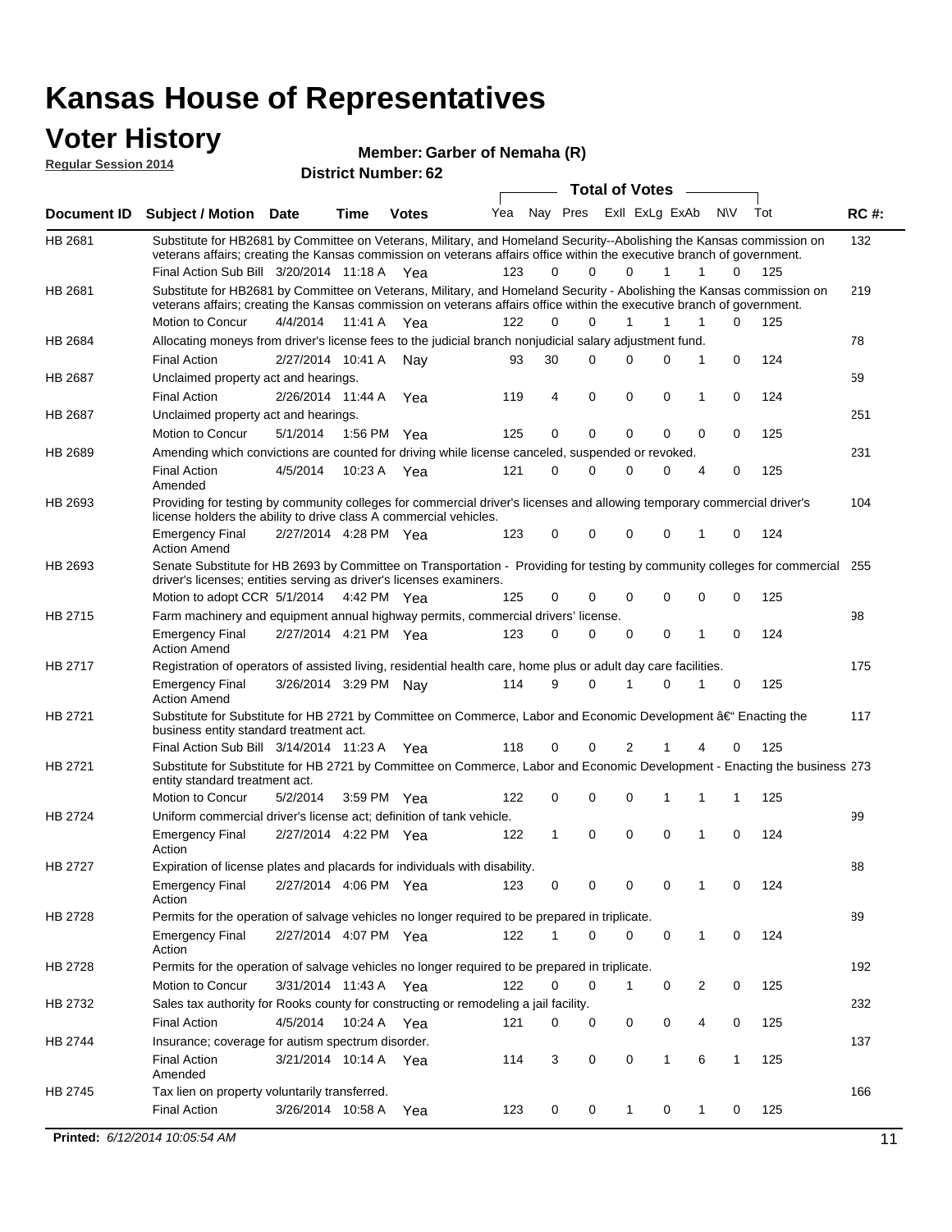# **Voter History**<br> **Regular Session 2014**

**Regular Session 2014**

#### **Member: Garber of Nemaha (R)**

| <b>District Number: 62</b> |  |
|----------------------------|--|
|                            |  |

|         |                                                                                                                                                                                                                                                                                               |                       |             |              |     |              |          | <b>Total of Votes</b> |              |              |             |     |             |
|---------|-----------------------------------------------------------------------------------------------------------------------------------------------------------------------------------------------------------------------------------------------------------------------------------------------|-----------------------|-------------|--------------|-----|--------------|----------|-----------------------|--------------|--------------|-------------|-----|-------------|
|         | Document ID Subject / Motion Date                                                                                                                                                                                                                                                             |                       | Time        | <b>Votes</b> | Yea | Nay Pres     |          | Exll ExLg ExAb        |              |              | <b>NV</b>   | Tot | <b>RC#:</b> |
| HB 2681 | Substitute for HB2681 by Committee on Veterans, Military, and Homeland Security--Abolishing the Kansas commission on<br>veterans affairs; creating the Kansas commission on veterans affairs office within the executive branch of government.<br>Final Action Sub Bill 3/20/2014 11:18 A Yea |                       |             |              | 123 | 0            | 0        | $\Omega$              | $\mathbf{1}$ | $\mathbf{1}$ | 0           | 125 | 132         |
| HB 2681 | Substitute for HB2681 by Committee on Veterans, Military, and Homeland Security - Abolishing the Kansas commission on<br>veterans affairs; creating the Kansas commission on veterans affairs office within the executive branch of government.<br>Motion to Concur                           | 4/4/2014 11:41 A      |             | Yea          | 122 | $\Omega$     | $\Omega$ | 1                     | 1            | 1            | $\Omega$    | 125 | 219         |
| HB 2684 | Allocating moneys from driver's license fees to the judicial branch nonjudicial salary adjustment fund.                                                                                                                                                                                       |                       |             |              |     |              |          |                       |              |              |             |     | 78          |
|         | <b>Final Action</b>                                                                                                                                                                                                                                                                           | 2/27/2014 10:41 A Nay |             |              | 93  | 30           | $\Omega$ | $\Omega$              | 0            | 1            | $\mathbf 0$ | 124 |             |
| HB 2687 | Unclaimed property act and hearings.                                                                                                                                                                                                                                                          |                       |             |              |     |              |          |                       |              |              |             |     | 59          |
|         | <b>Final Action</b>                                                                                                                                                                                                                                                                           | 2/26/2014 11:44 A     |             | Yea          | 119 | 4            | 0        | $\mathbf 0$           | 0            | 1            | $\mathbf 0$ | 124 |             |
| HB 2687 | Unclaimed property act and hearings.                                                                                                                                                                                                                                                          |                       |             |              |     |              |          |                       |              |              |             |     | 251         |
|         | Motion to Concur                                                                                                                                                                                                                                                                              | 5/1/2014              | 1:56 PM Yea |              | 125 | 0            | 0        | $\mathbf 0$           | 0            | 0            | 0           | 125 |             |
| HB 2689 | Amending which convictions are counted for driving while license canceled, suspended or revoked.                                                                                                                                                                                              |                       |             |              |     |              |          |                       |              |              |             |     | 231         |
|         | <b>Final Action</b><br>Amended                                                                                                                                                                                                                                                                | 4/5/2014              | 10:23 A Yea |              | 121 | 0            | $\Omega$ | $\Omega$              | 0            | 4            | 0           | 125 |             |
| HB 2693 | Providing for testing by community colleges for commercial driver's licenses and allowing temporary commercial driver's<br>license holders the ability to drive class A commercial vehicles.                                                                                                  |                       |             |              |     |              |          |                       |              |              |             |     | 104         |
|         | <b>Emergency Final</b><br><b>Action Amend</b>                                                                                                                                                                                                                                                 | 2/27/2014 4:28 PM Yea |             |              | 123 | 0            | 0        | 0                     | 0            | 1            | 0           | 124 |             |
| HB 2693 | Senate Substitute for HB 2693 by Committee on Transportation - Providing for testing by community colleges for commercial 255<br>driver's licenses; entities serving as driver's licenses examiners.                                                                                          |                       |             |              |     |              |          |                       |              |              |             |     |             |
|         | Motion to adopt CCR 5/1/2014 4:42 PM Yea                                                                                                                                                                                                                                                      |                       |             |              | 125 | 0            | 0        | 0                     | 0            | 0            | 0           | 125 |             |
| HB 2715 | Farm machinery and equipment annual highway permits, commercial drivers' license.                                                                                                                                                                                                             |                       |             |              |     |              |          |                       |              |              |             |     | 98          |
|         | <b>Emergency Final</b><br><b>Action Amend</b>                                                                                                                                                                                                                                                 | 2/27/2014 4:21 PM Yea |             |              | 123 | 0            | $\Omega$ | 0                     | 0            | 1            | $\mathbf 0$ | 124 |             |
| HB 2717 | Registration of operators of assisted living, residential health care, home plus or adult day care facilities.                                                                                                                                                                                |                       |             |              |     |              |          |                       |              |              |             |     | 175         |
|         | <b>Emergency Final</b><br><b>Action Amend</b>                                                                                                                                                                                                                                                 | 3/26/2014 3:29 PM Nay |             |              | 114 | 9            | $\Omega$ | 1                     | 0            | 1            | 0           | 125 |             |
| HB 2721 | Substitute for Substitute for HB 2721 by Committee on Commerce, Labor and Economic Development †Enacting the<br>business entity standard treatment act.                                                                                                                                       |                       |             |              |     |              |          |                       |              |              |             |     | 117         |
|         | Final Action Sub Bill 3/14/2014 11:23 A Yea                                                                                                                                                                                                                                                   |                       |             |              | 118 | 0            | 0        | 2                     | 1            | 4            | 0           | 125 |             |
| HB 2721 | Substitute for Substitute for HB 2721 by Committee on Commerce, Labor and Economic Development - Enacting the business 273<br>entity standard treatment act.<br>Motion to Concur                                                                                                              |                       |             |              |     |              |          |                       |              |              |             |     |             |
|         |                                                                                                                                                                                                                                                                                               | 5/2/2014              | 3:59 PM Yea |              | 122 | 0            | 0        | 0                     | 1            | 1            | 1           | 125 |             |
| HB 2724 | Uniform commercial driver's license act; definition of tank vehicle.<br><b>Emergency Final</b><br>Action                                                                                                                                                                                      | 2/27/2014 4:22 PM Yea |             |              | 122 | $\mathbf{1}$ | 0        | 0                     | 0            | 1            | $\mathbf 0$ | 124 | 99          |
| HB 2727 | Expiration of license plates and placards for individuals with disability.                                                                                                                                                                                                                    |                       |             |              |     |              |          |                       |              |              |             |     | 88          |
|         | <b>Emergency Final</b><br>Action                                                                                                                                                                                                                                                              | 2/27/2014 4:06 PM Yea |             |              | 123 | 0            | 0        | 0                     | 0            | 1            | 0           | 124 |             |
| HB 2728 | Permits for the operation of salvage vehicles no longer required to be prepared in triplicate.                                                                                                                                                                                                |                       |             |              |     |              |          |                       |              |              |             |     | 89          |
|         | <b>Emergency Final</b><br>Action                                                                                                                                                                                                                                                              | 2/27/2014 4:07 PM Yea |             |              | 122 | 1            | 0        | 0                     | 0            | 1            | 0           | 124 |             |
| HB 2728 | Permits for the operation of salvage vehicles no longer required to be prepared in triplicate.                                                                                                                                                                                                |                       |             |              |     |              |          |                       |              |              |             |     | 192         |
|         | Motion to Concur                                                                                                                                                                                                                                                                              | 3/31/2014 11:43 A Yea |             |              | 122 | 0            | 0        | 1                     | 0            | 2            | 0           | 125 |             |
| HB 2732 | Sales tax authority for Rooks county for constructing or remodeling a jail facility.                                                                                                                                                                                                          |                       |             |              |     |              |          |                       |              |              |             |     | 232         |
|         | <b>Final Action</b>                                                                                                                                                                                                                                                                           | 4/5/2014 10:24 A Yea  |             |              | 121 | 0            | 0        | 0                     | 0            | 4            | 0           | 125 |             |
| HB 2744 | Insurance; coverage for autism spectrum disorder.                                                                                                                                                                                                                                             |                       |             |              |     |              |          |                       |              |              |             |     | 137         |
|         | <b>Final Action</b>                                                                                                                                                                                                                                                                           | 3/21/2014 10:14 A Yea |             |              | 114 | 3            | 0        | 0                     | $\mathbf{1}$ | 6            | 1           | 125 |             |
|         | Amended                                                                                                                                                                                                                                                                                       |                       |             |              |     |              |          |                       |              |              |             |     |             |
| HB 2745 | Tax lien on property voluntarily transferred.                                                                                                                                                                                                                                                 |                       |             |              |     |              |          |                       |              |              |             |     | 166         |
|         | <b>Final Action</b>                                                                                                                                                                                                                                                                           | 3/26/2014 10:58 A     |             | Yea          | 123 | 0            | 0        | $\mathbf 1$           | 0            | $\mathbf 1$  | 0           | 125 |             |
|         | <b>Printed: 6/12/2014 10:05:54 AM</b>                                                                                                                                                                                                                                                         |                       |             |              |     |              |          |                       |              |              |             |     | 11          |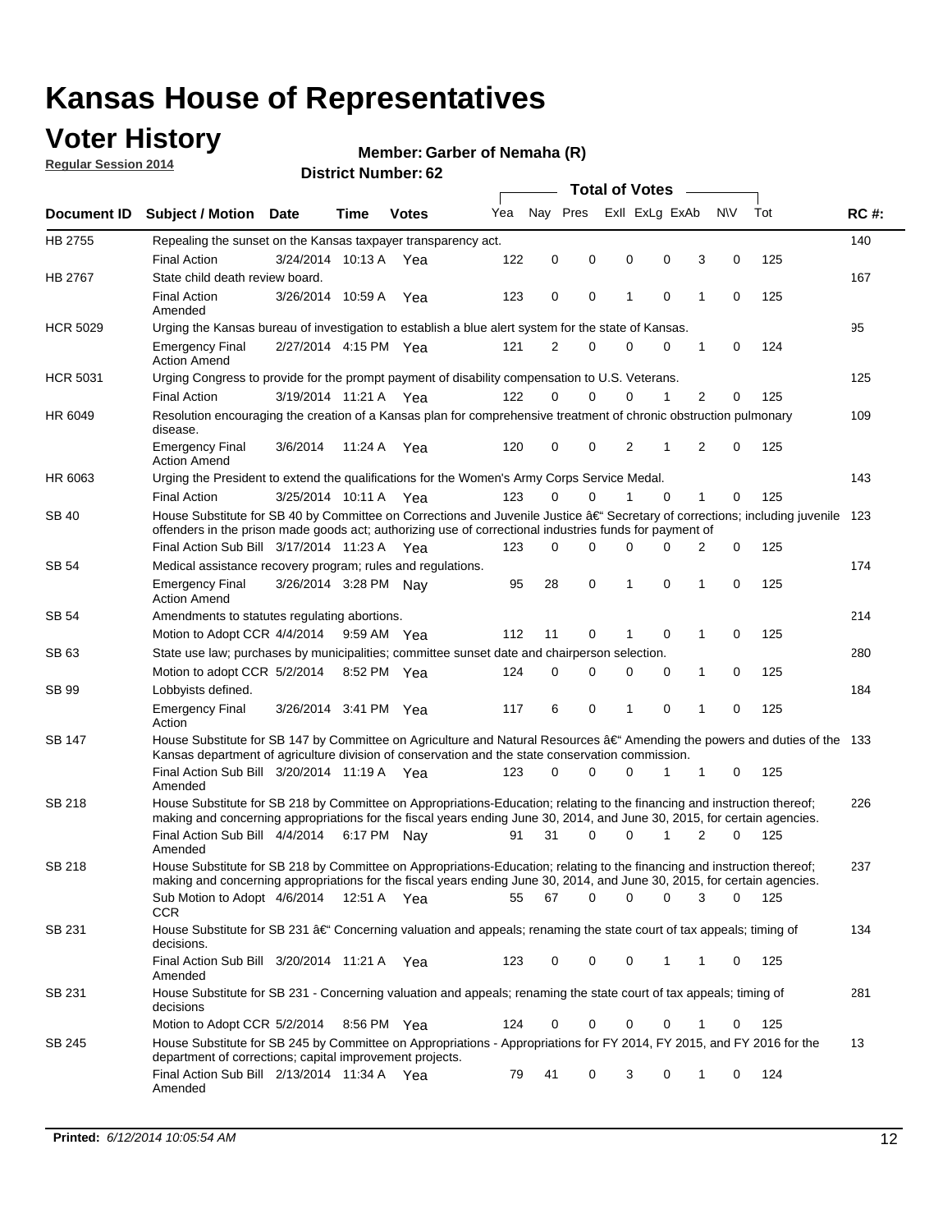### **Voter History**

**Regular Session 2014**

#### **Member: Garber of Nemaha (R)**

|                 | <b>Total of Votes</b>                                                                                                                                                                                                                                |                       |             |              |     |          |             |   |  |                             |             |       |             |
|-----------------|------------------------------------------------------------------------------------------------------------------------------------------------------------------------------------------------------------------------------------------------------|-----------------------|-------------|--------------|-----|----------|-------------|---|--|-----------------------------|-------------|-------|-------------|
|                 | Document ID Subject / Motion Date                                                                                                                                                                                                                    |                       | Time        | <b>Votes</b> | Yea | Nay Pres |             |   |  | Exll ExLg ExAb              | N\V         | Tot   | <b>RC#:</b> |
| HB 2755         | Repealing the sunset on the Kansas taxpayer transparency act.                                                                                                                                                                                        |                       |             |              |     |          |             |   |  |                             |             |       | 140         |
|                 | <b>Final Action</b>                                                                                                                                                                                                                                  | 3/24/2014 10:13 A     |             | Yea          | 122 | 0        | 0           | 0 |  | 0<br>3                      | 0           | 125   |             |
| HB 2767         | State child death review board.                                                                                                                                                                                                                      |                       |             |              |     |          |             |   |  |                             |             |       | 167         |
|                 | <b>Final Action</b><br>Amended                                                                                                                                                                                                                       | 3/26/2014 10:59 A     |             | Yea          | 123 | 0        | 0           | 1 |  | $\mathbf 0$<br>1            | 0           | 125   |             |
| <b>HCR 5029</b> | Urging the Kansas bureau of investigation to establish a blue alert system for the state of Kansas.                                                                                                                                                  |                       |             |              |     |          |             |   |  |                             |             |       | 95          |
|                 | <b>Emergency Final</b><br><b>Action Amend</b>                                                                                                                                                                                                        | 2/27/2014 4:15 PM Yea |             |              | 121 | 2        | 0           | 0 |  | 0<br>1                      | 0           | 124   |             |
| <b>HCR 5031</b> | Urging Congress to provide for the prompt payment of disability compensation to U.S. Veterans.                                                                                                                                                       |                       |             |              |     |          |             |   |  |                             |             |       | 125         |
|                 | <b>Final Action</b>                                                                                                                                                                                                                                  | 3/19/2014 11:21 A Yea |             |              | 122 | $\Omega$ | $\Omega$    | 0 |  | $\overline{2}$<br>1         | 0           | 125   |             |
| HR 6049         | Resolution encouraging the creation of a Kansas plan for comprehensive treatment of chronic obstruction pulmonary<br>disease.                                                                                                                        |                       |             |              |     |          |             |   |  |                             |             |       | 109         |
|                 | <b>Emergency Final</b><br><b>Action Amend</b>                                                                                                                                                                                                        | 3/6/2014              | 11:24 A     | Yea          | 120 | 0        | 0           | 2 |  | $\overline{2}$<br>1         | $\mathbf 0$ | 125   |             |
| HR 6063         | Urging the President to extend the qualifications for the Women's Army Corps Service Medal.                                                                                                                                                          |                       |             |              |     |          |             |   |  |                             |             |       | 143         |
|                 | <b>Final Action</b>                                                                                                                                                                                                                                  | 3/25/2014 10:11 A Yea |             |              | 123 | $\Omega$ | $\Omega$    | 1 |  | $\Omega$<br>1               | 0           | 125   |             |
| <b>SB 40</b>    | House Substitute for SB 40 by Committee on Corrections and Juvenile Justice †Secretary of corrections; including juvenile<br>offenders in the prison made goods act; authorizing use of correctional industries funds for payment of                 |                       |             |              |     |          |             |   |  |                             |             |       | 123         |
|                 | Final Action Sub Bill 3/17/2014 11:23 A Yea                                                                                                                                                                                                          |                       |             |              | 123 | 0        | 0           | 0 |  | <sup>0</sup><br>2           | 0           | 125   |             |
| SB 54           | Medical assistance recovery program; rules and regulations.                                                                                                                                                                                          |                       |             |              |     |          |             |   |  |                             |             |       | 174         |
|                 | <b>Emergency Final</b><br><b>Action Amend</b>                                                                                                                                                                                                        | 3/26/2014 3:28 PM Nay |             |              | 95  | 28       | $\mathbf 0$ | 1 |  | $\mathbf 0$<br>1            | 0           | 125   |             |
| SB 54           | Amendments to statutes regulating abortions.                                                                                                                                                                                                         |                       |             |              |     |          |             |   |  |                             |             |       | 214         |
|                 | Motion to Adopt CCR 4/4/2014                                                                                                                                                                                                                         |                       | 9:59 AM Yea |              | 112 | 11       | 0           |   |  | $\mathbf 0$<br>1            | 0           | 125   |             |
| SB 63           | State use law; purchases by municipalities; committee sunset date and chairperson selection.                                                                                                                                                         |                       |             |              |     |          |             |   |  |                             |             |       | 280         |
|                 | Motion to adopt CCR 5/2/2014                                                                                                                                                                                                                         |                       | 8:52 PM Yea |              | 124 | 0        | 0           | 0 |  | 1<br>0                      | 0           | 125   |             |
| SB 99           | Lobbyists defined.                                                                                                                                                                                                                                   |                       |             |              |     |          |             |   |  |                             |             |       | 184         |
|                 | <b>Emergency Final</b><br>Action                                                                                                                                                                                                                     | 3/26/2014 3:41 PM Yea |             |              | 117 | 6        | 0           | 1 |  | $\mathbf 0$<br>$\mathbf{1}$ | 0           | 125   |             |
| SB 147          | House Substitute for SB 147 by Committee on Agriculture and Natural Resources †Amending the powers and duties of the 133<br>Kansas department of agriculture division of conservation and the state conservation commission.                         |                       |             |              |     |          |             |   |  |                             |             |       |             |
|                 | Final Action Sub Bill 3/20/2014 11:19 A Yea<br>Amended                                                                                                                                                                                               |                       |             |              | 123 | 0        | $\Omega$    | 0 |  | 1<br>1                      | 0           | 125   |             |
| <b>SB 218</b>   | House Substitute for SB 218 by Committee on Appropriations-Education; relating to the financing and instruction thereof;<br>making and concerning appropriations for the fiscal years ending June 30, 2014, and June 30, 2015, for certain agencies. |                       |             |              |     |          |             |   |  |                             |             |       | 226         |
|                 | Final Action Sub Bill 4/4/2014 6:17 PM Nay<br>Amended                                                                                                                                                                                                |                       |             |              | 91  | 31       | $\Omega$    | 0 |  | 1<br>$\overline{2}$         | 0           | 125   |             |
| SB 218          | House Substitute for SB 218 by Committee on Appropriations-Education; relating to the financing and instruction thereof;                                                                                                                             |                       |             |              |     |          |             |   |  |                             |             |       | 237         |
|                 | making and concerning appropriations for the fiscal years ending June 30, 2014, and June 30, 2015, for certain agencies.<br>Sub Motion to Adopt 4/6/2014 12:51 A Yea<br>CCR                                                                          |                       |             |              | 55  | 67       | 0           | 0 |  | 0<br>3                      | 0           | - 125 |             |
| SB 231          | House Substitute for SB 231 †Concerning valuation and appeals; renaming the state court of tax appeals; timing of<br>decisions.                                                                                                                      |                       |             |              |     |          |             |   |  |                             |             |       | 134         |
|                 | Final Action Sub Bill 3/20/2014 11:21 A Yea<br>Amended                                                                                                                                                                                               |                       |             |              | 123 | 0        | 0           | 0 |  | 1<br>1                      | 0           | 125   |             |
| SB 231          | House Substitute for SB 231 - Concerning valuation and appeals; renaming the state court of tax appeals; timing of<br>decisions                                                                                                                      |                       |             |              |     |          |             |   |  |                             |             |       | 281         |
|                 | Motion to Adopt CCR 5/2/2014                                                                                                                                                                                                                         |                       | 8:56 PM Yea |              | 124 | 0        | 0           | 0 |  | 0<br>1                      | 0           | 125   |             |
| SB 245          | House Substitute for SB 245 by Committee on Appropriations - Appropriations for FY 2014, FY 2015, and FY 2016 for the<br>department of corrections; capital improvement projects.                                                                    |                       |             |              |     |          |             |   |  |                             |             |       | 13          |
|                 | Final Action Sub Bill 2/13/2014 11:34 A Yea<br>Amended                                                                                                                                                                                               |                       |             |              | 79  | 41       | 0           | 3 |  | 0<br>1                      | 0           | 124   |             |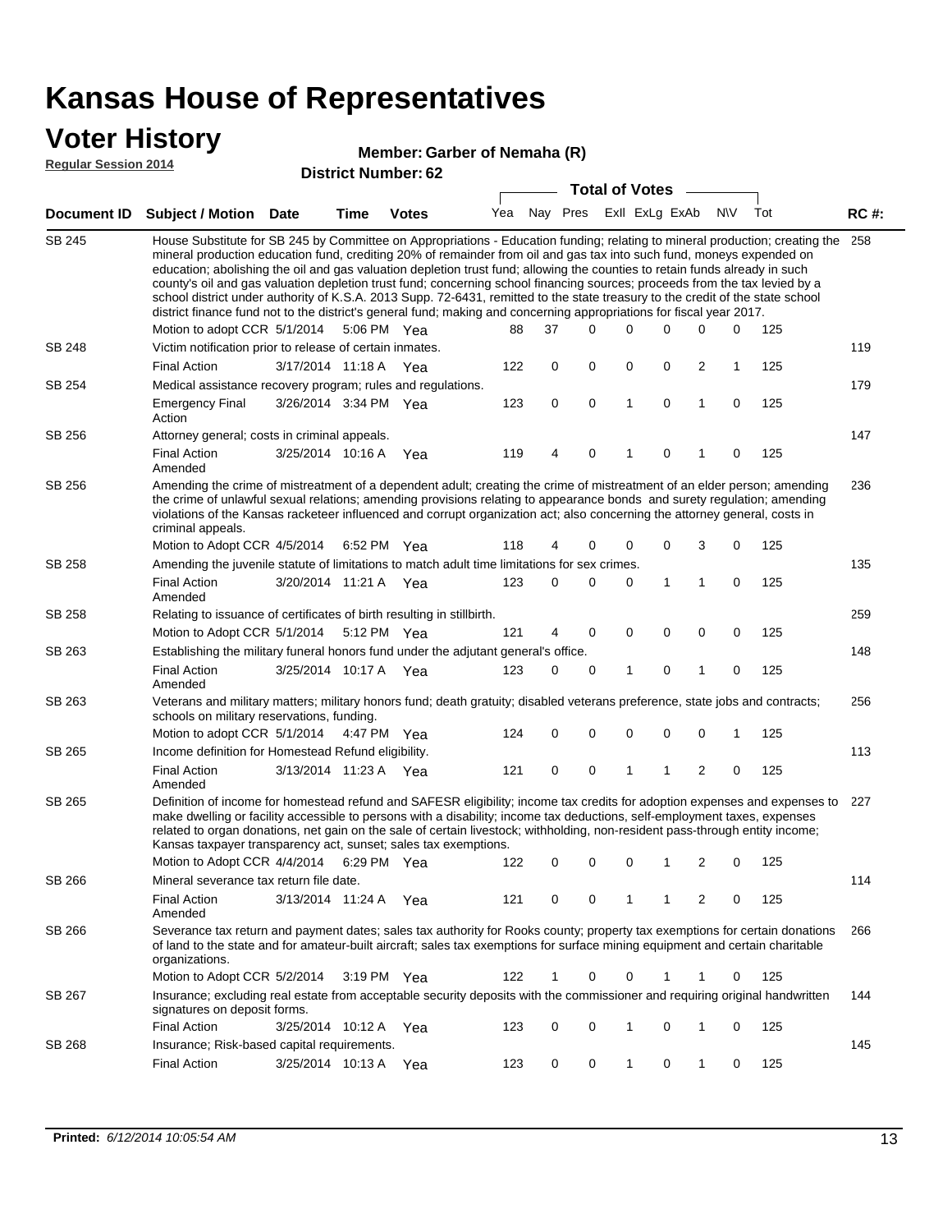### **Voter History**

#### **Member: Garber of Nemaha (R)**

**Regular Session 2014**

|               |                                                                                                                                                                                                                                                                                                                                                                                                                                                                                                                                                                                                                                                                                                                                                                                                               |                       |      | DISTILICI INUITIDEI . OZ |     |          | <b>Total of Votes</b> |              |                |                         |           |     |             |
|---------------|---------------------------------------------------------------------------------------------------------------------------------------------------------------------------------------------------------------------------------------------------------------------------------------------------------------------------------------------------------------------------------------------------------------------------------------------------------------------------------------------------------------------------------------------------------------------------------------------------------------------------------------------------------------------------------------------------------------------------------------------------------------------------------------------------------------|-----------------------|------|--------------------------|-----|----------|-----------------------|--------------|----------------|-------------------------|-----------|-----|-------------|
|               | Document ID Subject / Motion                                                                                                                                                                                                                                                                                                                                                                                                                                                                                                                                                                                                                                                                                                                                                                                  | Date                  | Time | <b>Votes</b>             | Yea | Nay Pres |                       |              | Exll ExLg ExAb |                         | <b>NV</b> | Tot | <b>RC#:</b> |
| <b>SB 245</b> | House Substitute for SB 245 by Committee on Appropriations - Education funding; relating to mineral production; creating the<br>mineral production education fund, crediting 20% of remainder from oil and gas tax into such fund, moneys expended on<br>education; abolishing the oil and gas valuation depletion trust fund; allowing the counties to retain funds already in such<br>county's oil and gas valuation depletion trust fund; concerning school financing sources; proceeds from the tax levied by a<br>school district under authority of K.S.A. 2013 Supp. 72-6431, remitted to the state treasury to the credit of the state school<br>district finance fund not to the district's general fund; making and concerning appropriations for fiscal year 2017.<br>Motion to adopt CCR 5/1/2014 |                       |      | 5:06 PM Yea              | 88  | 37       | $\Omega$              | 0            | 0              | 0                       | 0         | 125 | 258         |
| SB 248        | Victim notification prior to release of certain inmates.                                                                                                                                                                                                                                                                                                                                                                                                                                                                                                                                                                                                                                                                                                                                                      |                       |      |                          |     |          |                       |              |                |                         |           |     | 119         |
|               | <b>Final Action</b>                                                                                                                                                                                                                                                                                                                                                                                                                                                                                                                                                                                                                                                                                                                                                                                           | 3/17/2014 11:18 A Yea |      |                          | 122 | 0        | 0                     | 0            | 0              | $\overline{2}$          | 1         | 125 |             |
| SB 254        | Medical assistance recovery program; rules and regulations.                                                                                                                                                                                                                                                                                                                                                                                                                                                                                                                                                                                                                                                                                                                                                   |                       |      |                          |     |          |                       |              |                |                         |           |     | 179         |
|               | <b>Emergency Final</b><br>Action                                                                                                                                                                                                                                                                                                                                                                                                                                                                                                                                                                                                                                                                                                                                                                              | 3/26/2014 3:34 PM Yea |      |                          | 123 | 0        | 0                     | $\mathbf{1}$ | 0              | $\mathbf{1}$            | 0         | 125 |             |
| SB 256        | Attorney general; costs in criminal appeals.                                                                                                                                                                                                                                                                                                                                                                                                                                                                                                                                                                                                                                                                                                                                                                  |                       |      |                          |     |          |                       |              |                |                         |           |     | 147         |
|               | <b>Final Action</b><br>Amended                                                                                                                                                                                                                                                                                                                                                                                                                                                                                                                                                                                                                                                                                                                                                                                | 3/25/2014 10:16 A     |      | Yea                      | 119 | 4        | 0                     | 1            | 0              | 1                       | 0         | 125 |             |
| SB 256        | Amending the crime of mistreatment of a dependent adult; creating the crime of mistreatment of an elder person; amending<br>the crime of unlawful sexual relations; amending provisions relating to appearance bonds and surety regulation; amending<br>violations of the Kansas racketeer influenced and corrupt organization act; also concerning the attorney general, costs in<br>criminal appeals.                                                                                                                                                                                                                                                                                                                                                                                                       |                       |      |                          |     |          |                       |              |                |                         |           |     | 236         |
|               | Motion to Adopt CCR 4/5/2014 6:52 PM Yea                                                                                                                                                                                                                                                                                                                                                                                                                                                                                                                                                                                                                                                                                                                                                                      |                       |      |                          | 118 | 4        | 0                     | 0            | 0              | 3                       | 0         | 125 |             |
| SB 258        | Amending the juvenile statute of limitations to match adult time limitations for sex crimes.                                                                                                                                                                                                                                                                                                                                                                                                                                                                                                                                                                                                                                                                                                                  |                       |      |                          |     |          |                       |              |                |                         |           |     | 135         |
|               | <b>Final Action</b><br>Amended                                                                                                                                                                                                                                                                                                                                                                                                                                                                                                                                                                                                                                                                                                                                                                                | 3/20/2014 11:21 A Yea |      |                          | 123 | 0        | 0                     | 0            | 1              | 1                       | 0         | 125 |             |
| SB 258        | Relating to issuance of certificates of birth resulting in stillbirth.                                                                                                                                                                                                                                                                                                                                                                                                                                                                                                                                                                                                                                                                                                                                        |                       |      |                          |     |          |                       |              |                |                         |           |     | 259         |
|               | Motion to Adopt CCR 5/1/2014 5:12 PM Yea                                                                                                                                                                                                                                                                                                                                                                                                                                                                                                                                                                                                                                                                                                                                                                      |                       |      |                          | 121 | 4        | 0                     | 0            | $\mathbf 0$    | 0                       | 0         | 125 |             |
| SB 263        | Establishing the military funeral honors fund under the adjutant general's office.                                                                                                                                                                                                                                                                                                                                                                                                                                                                                                                                                                                                                                                                                                                            |                       |      |                          |     |          |                       |              |                |                         |           |     | 148         |
|               | <b>Final Action</b><br>Amended                                                                                                                                                                                                                                                                                                                                                                                                                                                                                                                                                                                                                                                                                                                                                                                | 3/25/2014 10:17 A Yea |      |                          | 123 | 0        | 0                     | 1            | 0              | 1                       | 0         | 125 |             |
| SB 263        | Veterans and military matters; military honors fund; death gratuity; disabled veterans preference, state jobs and contracts;<br>schools on military reservations, funding.                                                                                                                                                                                                                                                                                                                                                                                                                                                                                                                                                                                                                                    |                       |      |                          |     |          |                       |              |                |                         |           |     | 256         |
|               | Motion to adopt CCR 5/1/2014 4:47 PM Yea                                                                                                                                                                                                                                                                                                                                                                                                                                                                                                                                                                                                                                                                                                                                                                      |                       |      |                          | 124 | 0        | 0                     | 0            | 0              | $\mathbf 0$             | 1         | 125 |             |
| SB 265        | Income definition for Homestead Refund eligibility.                                                                                                                                                                                                                                                                                                                                                                                                                                                                                                                                                                                                                                                                                                                                                           |                       |      |                          |     |          |                       |              |                |                         |           |     | 113         |
|               | <b>Final Action</b><br>Amended                                                                                                                                                                                                                                                                                                                                                                                                                                                                                                                                                                                                                                                                                                                                                                                | 3/13/2014 11:23 A Yea |      |                          | 121 | 0        | 0                     | 1            | 1              | $\overline{\mathbf{c}}$ | 0         | 125 |             |
| SB 265        | Definition of income for homestead refund and SAFESR eligibility; income tax credits for adoption expenses and expenses to<br>make dwelling or facility accessible to persons with a disability; income tax deductions, self-employment taxes, expenses<br>related to organ donations, net gain on the sale of certain livestock; withholding, non-resident pass-through entity income;<br>Kansas taxpayer transparency act, sunset; sales tax exemptions.<br>Motion to Adopt CCR 4/4/2014                                                                                                                                                                                                                                                                                                                    |                       |      | 6:29 PM Yea              | 122 | 0        | 0                     | 0            | 1              | 2                       | 0         | 125 | 227         |
| SB 266        | Mineral severance tax return file date.                                                                                                                                                                                                                                                                                                                                                                                                                                                                                                                                                                                                                                                                                                                                                                       |                       |      |                          |     |          |                       |              |                |                         |           |     | 114         |
|               | <b>Final Action</b><br>Amended                                                                                                                                                                                                                                                                                                                                                                                                                                                                                                                                                                                                                                                                                                                                                                                | 3/13/2014 11:24 A     |      | Yea                      | 121 | 0        | 0                     | 1            | 1              | 2                       | 0         | 125 |             |
| SB 266        | Severance tax return and payment dates; sales tax authority for Rooks county; property tax exemptions for certain donations<br>of land to the state and for amateur-built aircraft; sales tax exemptions for surface mining equipment and certain charitable<br>organizations.                                                                                                                                                                                                                                                                                                                                                                                                                                                                                                                                |                       |      |                          |     |          |                       |              |                |                         |           |     | 266         |
|               | Motion to Adopt CCR 5/2/2014                                                                                                                                                                                                                                                                                                                                                                                                                                                                                                                                                                                                                                                                                                                                                                                  |                       |      | 3:19 PM Yea              | 122 | 1        | 0                     | 0            | 1              | 1                       | 0         | 125 |             |
| SB 267        | Insurance; excluding real estate from acceptable security deposits with the commissioner and requiring original handwritten<br>signatures on deposit forms.                                                                                                                                                                                                                                                                                                                                                                                                                                                                                                                                                                                                                                                   |                       |      |                          |     |          |                       |              |                |                         |           |     | 144         |
|               | <b>Final Action</b>                                                                                                                                                                                                                                                                                                                                                                                                                                                                                                                                                                                                                                                                                                                                                                                           | 3/25/2014 10:12 A     |      | Yea                      | 123 | 0        | 0                     | 1            | 0              | 1                       | 0         | 125 |             |
| SB 268        | Insurance; Risk-based capital requirements.                                                                                                                                                                                                                                                                                                                                                                                                                                                                                                                                                                                                                                                                                                                                                                   |                       |      |                          |     |          |                       |              |                |                         |           |     | 145         |
|               | <b>Final Action</b>                                                                                                                                                                                                                                                                                                                                                                                                                                                                                                                                                                                                                                                                                                                                                                                           | 3/25/2014 10:13 A     |      | Yea                      | 123 | 0        | 0                     | 1            | 0              | 1                       | 0         | 125 |             |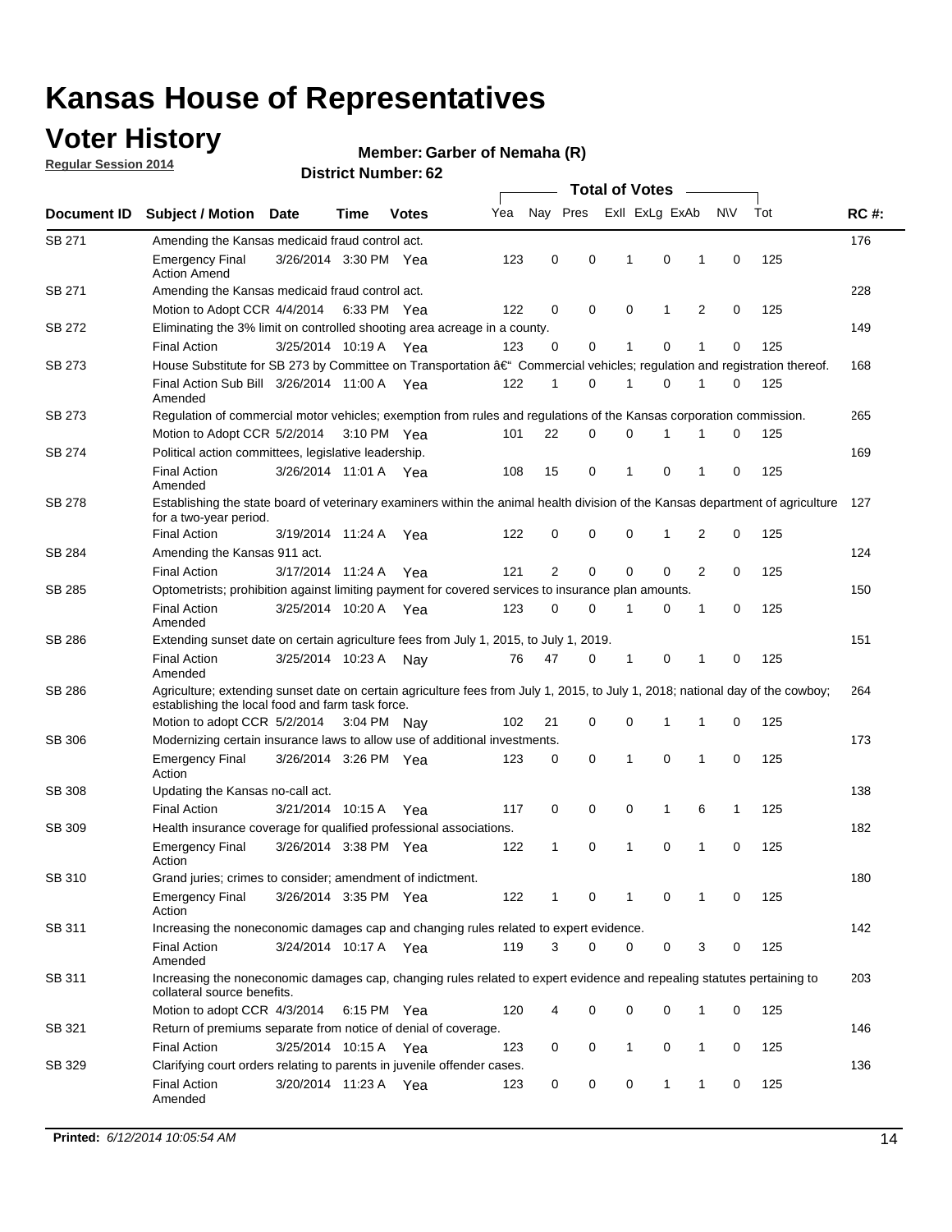### **Voter History**

**Regular Session 2014**

#### **Member: Garber of Nemaha (R)**

|               |                                                                                                                                                                                    |                       |      |              |     | <b>Total of Votes</b> |   |  |                |             |                |             |     |             |
|---------------|------------------------------------------------------------------------------------------------------------------------------------------------------------------------------------|-----------------------|------|--------------|-----|-----------------------|---|--|----------------|-------------|----------------|-------------|-----|-------------|
| Document ID   | <b>Subject / Motion Date</b>                                                                                                                                                       |                       | Time | <b>Votes</b> | Yea | Nay Pres              |   |  | Exll ExLg ExAb |             |                | <b>NV</b>   | Tot | <b>RC#:</b> |
| SB 271        | Amending the Kansas medicaid fraud control act.                                                                                                                                    |                       |      |              |     |                       |   |  |                |             |                |             |     | 176         |
|               | <b>Emergency Final</b><br><b>Action Amend</b>                                                                                                                                      | 3/26/2014 3:30 PM Yea |      |              | 123 | 0                     | 0 |  | 1              | 0           | 1              | 0           | 125 |             |
| SB 271        | Amending the Kansas medicaid fraud control act.                                                                                                                                    |                       |      |              |     |                       |   |  |                |             |                |             |     | 228         |
|               | Motion to Adopt CCR 4/4/2014 6:33 PM Yea                                                                                                                                           |                       |      |              | 122 | 0                     | 0 |  | 0              | 1           | 2              | 0           | 125 |             |
| SB 272        | Eliminating the 3% limit on controlled shooting area acreage in a county.                                                                                                          |                       |      |              |     |                       |   |  |                |             |                |             |     | 149         |
|               | <b>Final Action</b>                                                                                                                                                                | 3/25/2014 10:19 A Yea |      |              | 123 | 0                     | 0 |  | 1              | 0           | 1              | 0           | 125 |             |
| SB 273        | House Substitute for SB 273 by Committee on Transportation †Commercial vehicles; regulation and registration thereof.                                                              |                       |      |              |     |                       |   |  |                |             |                |             |     | 168         |
|               | Final Action Sub Bill 3/26/2014 11:00 A Yea<br>Amended                                                                                                                             |                       |      |              | 122 | 1                     | 0 |  | 1              | 0           | 1              | 0           | 125 |             |
| SB 273        | Regulation of commercial motor vehicles; exemption from rules and regulations of the Kansas corporation commission.                                                                |                       |      |              |     |                       |   |  |                |             |                |             |     | 265         |
|               | Motion to Adopt CCR 5/2/2014 3:10 PM Yea                                                                                                                                           |                       |      |              | 101 | 22                    | 0 |  | 0              | 1           | 1              | 0           | 125 |             |
| SB 274        | Political action committees, legislative leadership.                                                                                                                               |                       |      |              |     |                       |   |  |                |             |                |             |     | 169         |
|               | <b>Final Action</b><br>Amended                                                                                                                                                     | 3/26/2014 11:01 A Yea |      |              | 108 | 15                    | 0 |  | -1             | 0           | 1              | 0           | 125 |             |
| SB 278        | Establishing the state board of veterinary examiners within the animal health division of the Kansas department of agriculture<br>for a two-year period.                           |                       |      |              |     |                       |   |  |                |             |                |             |     | 127         |
|               | <b>Final Action</b>                                                                                                                                                                | 3/19/2014 11:24 A     |      | Yea          | 122 | 0                     | 0 |  | 0              | 1           | 2              | 0           | 125 |             |
| SB 284        | Amending the Kansas 911 act.                                                                                                                                                       |                       |      |              |     |                       |   |  |                |             |                |             |     | 124         |
|               | <b>Final Action</b>                                                                                                                                                                | 3/17/2014 11:24 A     |      | Yea          | 121 | 2                     | 0 |  | 0              | $\mathbf 0$ | $\overline{2}$ | 0           | 125 |             |
| SB 285        | Optometrists; prohibition against limiting payment for covered services to insurance plan amounts.                                                                                 |                       |      |              |     |                       |   |  |                |             |                |             |     | 150         |
|               | <b>Final Action</b><br>Amended                                                                                                                                                     | 3/25/2014 10:20 A Yea |      |              | 123 | 0                     | 0 |  | $\mathbf 1$    | 0           | 1              | 0           | 125 |             |
| SB 286        | Extending sunset date on certain agriculture fees from July 1, 2015, to July 1, 2019.                                                                                              |                       |      |              |     |                       |   |  |                |             |                |             |     | 151         |
|               | <b>Final Action</b><br>Amended                                                                                                                                                     | 3/25/2014 10:23 A     |      | Nay          | 76  | 47                    | 0 |  | $\mathbf{1}$   | 0           | 1              | $\mathbf 0$ | 125 |             |
| SB 286        | Agriculture; extending sunset date on certain agriculture fees from July 1, 2015, to July 1, 2018; national day of the cowboy;<br>establishing the local food and farm task force. |                       |      |              |     |                       |   |  |                |             |                |             |     | 264         |
|               | Motion to adopt CCR 5/2/2014 3:04 PM Nay                                                                                                                                           |                       |      |              | 102 | 21                    | 0 |  | 0              | $\mathbf 1$ | 1              | 0           | 125 |             |
| SB 306        | Modernizing certain insurance laws to allow use of additional investments.                                                                                                         |                       |      |              |     |                       |   |  |                |             |                |             |     | 173         |
|               | <b>Emergency Final</b><br>Action                                                                                                                                                   | 3/26/2014 3:26 PM Yea |      |              | 123 | 0                     | 0 |  | 1              | $\mathbf 0$ | 1              | 0           | 125 |             |
| <b>SB 308</b> | Updating the Kansas no-call act.                                                                                                                                                   |                       |      |              |     |                       |   |  |                |             |                |             |     | 138         |
|               | <b>Final Action</b>                                                                                                                                                                | 3/21/2014 10:15 A     |      | Yea          | 117 | 0                     | 0 |  | 0              | 1           | 6              | 1           | 125 |             |
| SB 309        | Health insurance coverage for qualified professional associations.                                                                                                                 |                       |      |              |     |                       |   |  |                |             |                |             |     | 182         |
|               | <b>Emergency Final</b><br>Action                                                                                                                                                   | 3/26/2014 3:38 PM Yea |      |              | 122 | 1                     | 0 |  | $\mathbf{1}$   | 0           | 1              | $\mathbf 0$ | 125 |             |
| SB 310        | Grand juries; crimes to consider; amendment of indictment.                                                                                                                         |                       |      |              |     |                       |   |  |                |             |                |             |     | 180         |
|               | <b>Emergency Final</b><br>Action                                                                                                                                                   | 3/26/2014 3:35 PM Yea |      |              | 122 | 1                     | 0 |  | 1              | 0           | 1              | 0           | 125 |             |
| SB 311        | Increasing the noneconomic damages cap and changing rules related to expert evidence.                                                                                              |                       |      |              |     |                       |   |  |                |             |                |             |     | 142         |
|               | <b>Final Action</b><br>Amended                                                                                                                                                     | 3/24/2014 10:17 A Yea |      |              | 119 | 3                     | 0 |  | 0              | 0           | 3              | 0           | 125 |             |
| SB 311        | Increasing the noneconomic damages cap, changing rules related to expert evidence and repealing statutes pertaining to<br>collateral source benefits.                              |                       |      |              |     |                       |   |  |                |             |                |             |     | 203         |
|               | Motion to adopt CCR 4/3/2014 6:15 PM Yea                                                                                                                                           |                       |      |              | 120 | 4                     | 0 |  | 0              | 0           | 1              | 0           | 125 |             |
| SB 321        | Return of premiums separate from notice of denial of coverage.                                                                                                                     |                       |      |              |     |                       |   |  |                |             |                |             |     | 146         |
|               | <b>Final Action</b>                                                                                                                                                                | 3/25/2014 10:15 A Yea |      |              | 123 | 0                     | 0 |  | 1              | 0           | 1              | 0           | 125 |             |
| SB 329        | Clarifying court orders relating to parents in juvenile offender cases.<br><b>Final Action</b><br>Amended                                                                          | 3/20/2014 11:23 A Yea |      |              | 123 | 0                     | 0 |  | 0              | 1           | 1              | 0           | 125 | 136         |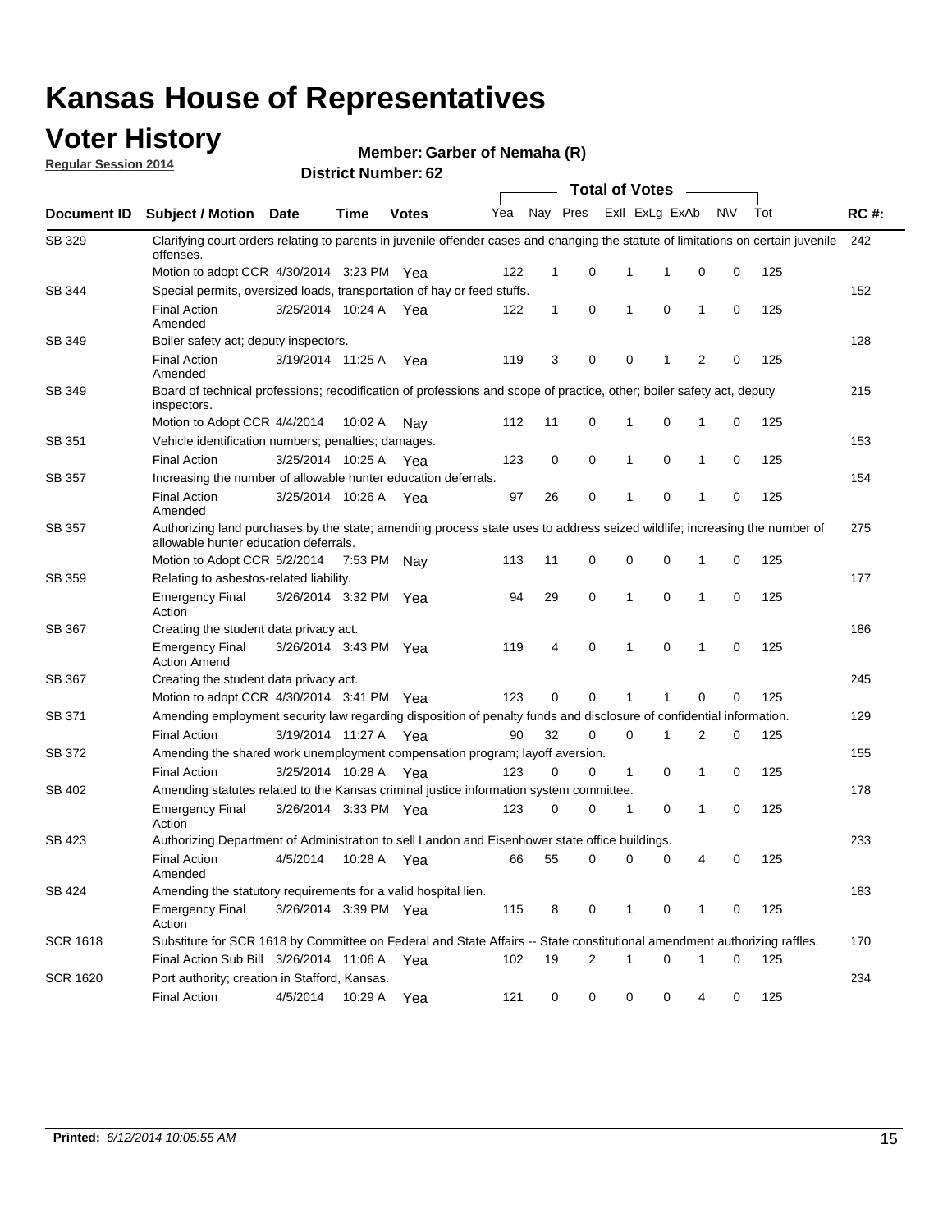### **Voter History**

**Regular Session 2014**

#### **Member: Garber of Nemaha (R)**

|                    | <b>Total of Votes</b>                                                                                                                                              |                       |             |              |     |             |   |              |                |                |             |     |             |
|--------------------|--------------------------------------------------------------------------------------------------------------------------------------------------------------------|-----------------------|-------------|--------------|-----|-------------|---|--------------|----------------|----------------|-------------|-----|-------------|
| <b>Document ID</b> | <b>Subject / Motion Date</b>                                                                                                                                       |                       | Time        | <b>Votes</b> | Yea | Nay Pres    |   |              | Exll ExLg ExAb |                | N\V         | Tot | <b>RC#:</b> |
| SB 329             | Clarifying court orders relating to parents in juvenile offender cases and changing the statute of limitations on certain juvenile<br>offenses.                    |                       |             |              |     |             |   |              |                |                |             |     | 242         |
|                    | Motion to adopt CCR 4/30/2014 3:23 PM Yea                                                                                                                          |                       |             |              | 122 | $\mathbf 1$ | 0 | 1            | 1              | 0              | 0           | 125 |             |
| <b>SB 344</b>      | Special permits, oversized loads, transportation of hay or feed stuffs.                                                                                            |                       |             |              |     |             |   |              |                |                |             |     | 152         |
|                    | <b>Final Action</b><br>Amended                                                                                                                                     | 3/25/2014 10:24 A     |             | Yea          | 122 | 1           | 0 | 1            | 0              | $\mathbf 1$    | 0           | 125 |             |
| SB 349             | Boiler safety act; deputy inspectors.                                                                                                                              |                       |             |              |     |             |   |              |                |                |             |     | 128         |
|                    | <b>Final Action</b><br>Amended                                                                                                                                     | 3/19/2014 11:25 A     |             | Yea          | 119 | 3           | 0 | 0            | 1              | $\overline{2}$ | $\mathbf 0$ | 125 |             |
| SB 349             | Board of technical professions; recodification of professions and scope of practice, other; boiler safety act, deputy<br>inspectors.                               |                       |             |              |     |             |   |              |                |                |             |     | 215         |
|                    | Motion to Adopt CCR 4/4/2014                                                                                                                                       |                       | 10:02 A     | Nav          | 112 | 11          | 0 | 1            | 0              | 1              | 0           | 125 |             |
| SB 351             | Vehicle identification numbers; penalties; damages.                                                                                                                |                       |             |              |     |             |   |              |                |                |             |     | 153         |
|                    | <b>Final Action</b>                                                                                                                                                | 3/25/2014 10:25 A     |             | Yea          | 123 | 0           | 0 | 1            | 0              | $\mathbf{1}$   | 0           | 125 |             |
| SB 357             | Increasing the number of allowable hunter education deferrals.                                                                                                     |                       |             |              |     |             |   |              |                |                |             |     | 154         |
|                    | <b>Final Action</b><br>Amended                                                                                                                                     | 3/25/2014 10:26 A     |             | Yea          | 97  | 26          | 0 | 1            | 0              | $\mathbf{1}$   | 0           | 125 |             |
| SB 357             | Authorizing land purchases by the state; amending process state uses to address seized wildlife; increasing the number of<br>allowable hunter education deferrals. |                       |             |              |     |             |   |              |                |                |             |     | 275         |
|                    | Motion to Adopt CCR 5/2/2014                                                                                                                                       |                       | 7:53 PM Nay |              | 113 | 11          | 0 | 0            | 0              | -1             | 0           | 125 |             |
| SB 359             | Relating to asbestos-related liability.                                                                                                                            |                       |             |              |     |             |   |              |                |                |             |     | 177         |
|                    | <b>Emergency Final</b><br>Action                                                                                                                                   | 3/26/2014 3:32 PM Yea |             |              | 94  | 29          | 0 | 1            | $\mathbf 0$    | $\mathbf 1$    | $\mathbf 0$ | 125 |             |
| <b>SB 367</b>      | Creating the student data privacy act.                                                                                                                             |                       |             |              |     |             |   |              |                |                |             |     | 186         |
|                    | <b>Emergency Final</b><br><b>Action Amend</b>                                                                                                                      | 3/26/2014 3:43 PM Yea |             |              | 119 | 4           | 0 | 1            | 0              | -1             | 0           | 125 |             |
| SB 367             | Creating the student data privacy act.                                                                                                                             |                       |             |              |     |             |   |              |                |                |             |     | 245         |
|                    | Motion to adopt CCR 4/30/2014 3:41 PM Yea                                                                                                                          |                       |             |              | 123 | 0           | 0 | 1            | 1              | 0              | 0           | 125 |             |
| SB 371             | Amending employment security law regarding disposition of penalty funds and disclosure of confidential information.                                                |                       |             |              |     |             |   |              |                |                |             |     | 129         |
|                    | <b>Final Action</b>                                                                                                                                                | 3/19/2014 11:27 A Yea |             |              | 90  | 32          | 0 | 0            | 1              | 2              | 0           | 125 |             |
| <b>SB 372</b>      | Amending the shared work unemployment compensation program; layoff aversion.                                                                                       |                       |             |              |     |             |   |              |                |                |             |     | 155         |
|                    | <b>Final Action</b>                                                                                                                                                | 3/25/2014 10:28 A     |             | Yea          | 123 | 0           | 0 | $\mathbf{1}$ | 0              | $\mathbf{1}$   | 0           | 125 |             |
| SB 402             | Amending statutes related to the Kansas criminal justice information system committee.                                                                             |                       |             |              |     |             |   |              |                |                |             |     | 178         |
|                    | <b>Emergency Final</b><br>Action                                                                                                                                   | 3/26/2014 3:33 PM     |             | Yea          | 123 | 0           | 0 | 1            | 0              | $\mathbf{1}$   | 0           | 125 |             |
| SB 423             | Authorizing Department of Administration to sell Landon and Eisenhower state office buildings.                                                                     |                       |             |              |     |             |   |              |                |                |             |     | 233         |
|                    | <b>Final Action</b><br>Amended                                                                                                                                     | 4/5/2014              | 10:28 A     | Yea          | 66  | 55          | 0 | 0            | 0              | 4              | 0           | 125 |             |
| SB 424             | Amending the statutory requirements for a valid hospital lien.                                                                                                     |                       |             |              |     |             |   |              |                |                |             |     | 183         |
|                    | <b>Emergency Final</b><br>Action                                                                                                                                   | 3/26/2014 3:39 PM Yea |             |              | 115 | 8           | 0 | 1            | 0              | -1             | 0           | 125 |             |
| SCR 1618           | Substitute for SCR 1618 by Committee on Federal and State Affairs -- State constitutional amendment authorizing raffles.                                           |                       |             |              |     |             |   |              |                |                |             |     | 170         |
|                    | Final Action Sub Bill 3/26/2014 11:06 A                                                                                                                            |                       |             | Yea          | 102 | 19          | 2 | 1            | 0              | -1             | 0           | 125 |             |
| SCR 1620           | Port authority; creation in Stafford, Kansas.                                                                                                                      |                       |             |              |     |             |   |              |                |                |             |     | 234         |
|                    | <b>Final Action</b>                                                                                                                                                | 4/5/2014              | 10:29 A     | Yea          | 121 | 0           | 0 | 0            | 0              | 4              | 0           | 125 |             |